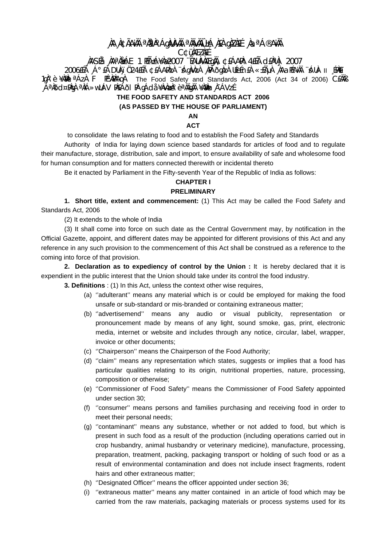# **¸ÀA¸À¢ÃAiÀÄ ªÀåªÀºÁgÀUÀ¼ÀÄ ªÀÄvÀÄÛ ±Á¸À£À gÀZÀ£É ¸ÀaªÁ®AiÀÄ C¢ü¸ÀÆZÀ£É**

**¸ÀASÉå: ¸ÀAªÀå±ÁE 1 PÉñÁ¥Àæ 2007 ¨ÉAUÀ¼ÀÆgÀÄ, ¢£ÁAPÀ: 4£Éà d£ÀªÀj 2007**

2006£Éà ¸Á°£À DUÀ¸ïÖ 24£Éà ¢£ÁAPÀzÀ ¨sÁgÀvÀzÀ ¸ÀPÁðgÀzÀ UÉeÉn£À «±ÉõÀ ¸ÀAaPÉAiÀÄ ¨sÁUÀ- II ¸ÉPÀë£ï 1gˡè ¥ÀMÀI<sup>a</sup>ÁzÀ F PɼAPÀAgÀ The Food Safety and Standards Act, 2006 (Act 34 of 2006) CEÀÄB <sub>.</sub>ÁªÀðd¤PÀgÀ ªÀiÁ»wUÁV PÀ£ÁðI PÀ gÁdå ¥ÀvÀæÀ°èªÀÄgÀÄ ¥ÀðÀn¸À¯ÁVzÉ.

# **THE FOOD SAFETY AND STANDARDS ACT 2006**

**(AS PASSED BY THE HOUSE OF PARLIAMENT)** 

# **AN**

# **ACT**

to consolidate the laws relating to food and to establish the Food Safety and Standards

 Authority of India for laying down science based standards for articles of food and to regulate their manufacture, storage, distribution, sale and import, to ensure availability of safe and wholesome food for human consumption and for matters connected therewith or incidental thereto

Be it enacted by Parliament in the Fifty-seventh Year of the Republic of India as follows:

# **CHAPTER I**

# **PRELIMINARY**

 **1. Short title, extent and commencement:** (1) This Act may be called the Food Safety and Standards Act, 2006

(2) It extends to the whole of India

 (3) It shall come into force on such date as the Central Government may, by notification in the Official Gazette, appoint, and different dates may be appointed for different provisions of this Act and any reference in any such provision to the commencement of this Act shall be construed as a reference to the coming into force of that provision.

**2. Declaration as to expediency of control by the Union :** It is hereby declared that it is expendient in the public interest that the Union should take under its control the food industry.

**3. Definitions** : (1) In this Act, unless the context other wise requires,

- (a) ''adulterant'' means any material which is or could be employed for making the food unsafe or sub-standard or mis-branded or containing extraneous matter;
- (b) ''advertisemend'' means any audio or visual publicity, representation or pronouncement made by means of any light, sound smoke, gas, print, electronic media, internet or website and includes through any notice, circular, label, wrapper, invoice or other documents;
- (c) ''Chairperson'' means the Chairperson of the Food Authority;
- (d) ''claim'' means any representation which states, suggests or implies that a food has particular qualities relating to its origin, nutritional properties, nature, processing, composition or otherwise;
- (e) ''Commissioner of Food Safety'' means the Commissioner of Food Safety appointed under section 30;
- (f) ''consumer'' means persons and families purchasing and receiving food in order to meet their personal needs;
- (g) ''contaminant'' means any substance, whether or not added to food, but which is present in such food as a result of the production (including operations carried out in crop husbandry, animal husbandry or veterinary medicine), manufacture, processing, preparation, treatment, packing, packaging transport or holding of such food or as a result of environmental contamination and does not include insect fragments, rodent hairs and other extraneous matter;
- (h) ''Designated Officer'' means the officer appointed under section 36;
- (i) ''extraneous matter'' means any matter contained in an article of food which may be carried from the raw materials, packaging materials or process systems used for its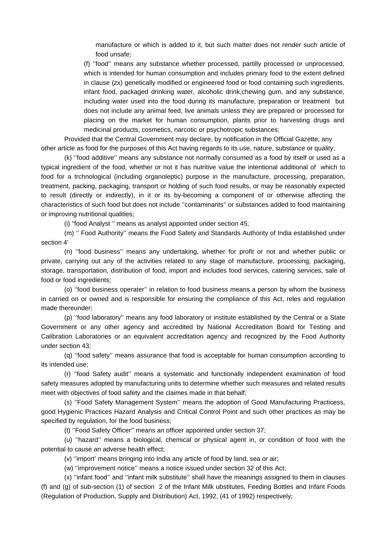manufacture or which is added to it, but such matter does not render such article of food unsafe;

(f) ''food'' means any substance whether processed, partilly processed or unprocessed, which is intended for human consumption and includes primary food to the extent defined in clause (zx) genetically modified or engineered food or food containing such ingredients, infant food, packaged drinking water, alcoholic drink,chewing gum, and any substance, including water used into the food during its manufacture, preparation or treatment but does not include any animal feed, live animals unless they are prepared or processed for placing on the market for human consumption, plants prior to harvesting drugs and medicinal products, cosmetics, narcotic or psychotropic substances;

 Provided that the Central Government may declare, by notification in the Official Gazette, any other article as food for the purposes of this Act having regards to its use, nature, substance or quality;

 (k) ''food additive'' means any substance not normally consumed as a food by itself or used as a typical ingredient of the food, whether or not it has nutritive value the intentional additional of which to food for a trchnological (including organoleptic) purpose in the manufacture, processing, preparation, treatment, packing, packaging, transport or holding of such food results, or may be reasonably expected to result (directly or indirectly), in it or its by-becoming a component of or otherwise affecting the characteristics of such food but does not include ''contaminants'' or substances added to food maintaining or improving nutritional qualities;

(i) ''food Analyst '' means as analyst appointed under section 45;

 (m) '' Food Authority'' means the Food Safety and Standards Authority of India established under section 4'

 (n) ''food business'' means any undertaking, whether for profit or not and whether public or private, carrying out any of the activities related to any stage of manufacture, processing, packaging, storage, transportation, distribution of food, import and includes food services, catering services, sale of food or food ingredients;

 (o) ''food business operater'' in relation to food business means a person by whom the business in carried on or owned and is responsible for ensuring the compliance of this Act, reles and regulation made thereunder;

 (p) ''food laboratory'' means any food laboratory or institute established by the Central or a State Government or any other agency and accredited by National Accreditation Board for Testing and Calibration Laboratories or an equivalent accreditation agency and recognized by the Food Authority under section 43;

 (q) ''food safety'' means assurance that food is acceptable for human consumption according to its intended use;

 (r) ''food Safety audit'' means a systematic and functionally independent examination of food safety measures adopted by manufacturing units to determine whether such measures and related results meet with objectives of food safety and the claimes made in that behalf;

 (s) ''Food Safety Management System'' means the adoption of Good Manufacturing Practicess, good Hygienic Practices Hazard Analysis and Critical Control Point and such other practices as may be specified by regulation, for the food business;

(t) ''Food Safety Officer'' means an officer appointed under section 37;

 (u) ''hazard'' means a biological, chemical or physical agent in, or condition of food with the potential to cause an adverse health effect;

(v) ''import' means bringing into India any article of food by land, sea or air;

(w) ''improvement notice'' means a notice issued under section 32 of this Act;

 (x) ''infant food'' and ''infant milk substitute'' shall have the meanings assigned to them in clauses (f) and (g) of sub-section (1) of section 2 of the Infant Milk ubstitutes, Feeding Bottles and Infant Foods (Regulation of Production, Supply and Distribution) Act, 1992, (41 of 1992) respectively;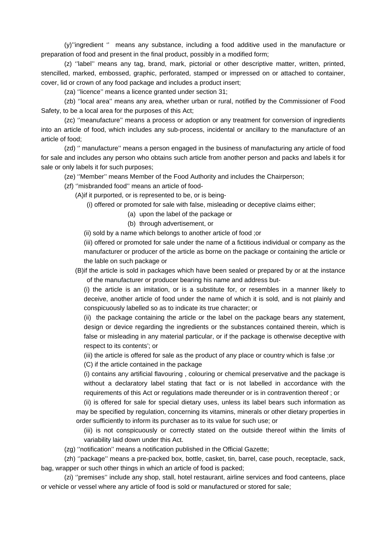(y)''ingredient '' means any substance, including a food additive used in the manufacture or preparation of food and present in the final product, possibly in a modified form;

 (z) ''label'' means any tag, brand, mark, pictorial or other descriptive matter, written, printed, stencilled, marked, embossed, graphic, perforated, stamped or impressed on or attached to container, cover, lid or crown of any food package and includes a product insert;

(za) ''licence'' means a licence granted under section 31;

 (zb) ''local area'' means any area, whether urban or rural, notified by the Commissioner of Food Safety, to be a local area for the purposes of this Act;

 (zc) ''meanufacture'' means a process or adoption or any treatment for conversion of ingredients into an article of food, which includes any sub-process, incidental or ancillary to the manufacture of an article of food;

 (zd) '' manufacture'' means a person engaged in the business of manufacturing any article of food for sale and includes any person who obtains such article from another person and packs and labels it for sale or only labels it for such purposes;

(ze) ''Member'' means Member of the Food Authority and includes the Chairperson;

(zf) ''misbranded food'' means an article of food-

(A) if it purported, or is represented to be, or is being-

(i) offered or promoted for sale with false, misleading or deceptive claims either;

- (a) upon the label of the package or
- (b) through advertisement, or

(ii) sold by a name which belongs to another article of food ;or

(iii) offered or promoted for sale under the name of a fictitious individual or company as the manufacturer or producer of the article as borne on the package or containing the article or the lable on such package or

(B) if the article is sold in packages which have been sealed or prepared by or at the instance of the manufacturer or producer bearing his name and address but-

(i) the article is an imitation, or is a substitute for, or resembles in a manner likely to deceive, another article of food under the name of which it is sold, and is not plainly and conspicuously labelled so as to indicate its true character; or

(ii) the package containing the article or the label on the package bears any statement, design or device regarding the ingredients or the substances contained therein, which is false or misleading in any material particular, or if the package is otherwise deceptive with respect to its contents'; or

(iii) the article is offered for sale as the product of any place or country which is false ;or

(C) if the article contained in the package

(i) contains any artificial flavouring , colouring or chemical preservative and the package is without a declaratory label stating that fact or is not labelled in accordance with the requirements of this Act or regulations made thereunder or is in contravention thereof ; or

 (ii) is offered for sale for special dietary uses, unless its label bears such information as may be specified by regulation, concerning its vitamins, minerals or other dietary properties in order sufficiently to inform its purchaser as to its value for such use; or

(iii) is not conspicuously or correctly stated on the outside thereof within the limits of variability laid down under this Act.

(zg) ''notification'' means a notification published in the Official Gazette;

 (zh) ''package'' means a pre-packed box, bottle, casket, tin, barrel, case pouch, receptacle, sack, bag, wrapper or such other things in which an article of food is packed;

 (zi) ''premises'' include any shop, stall, hotel restaurant, airline services and food canteens, place or vehicle or vessel where any article of food is sold or manufactured or stored for sale;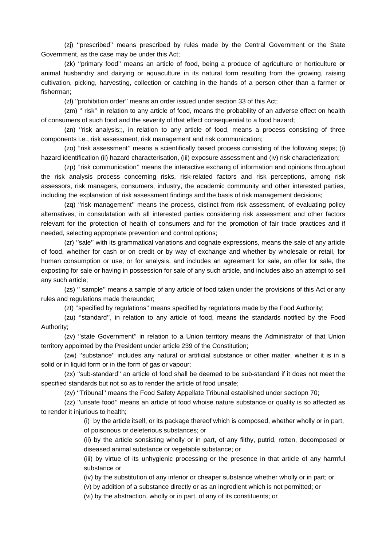(zj) ''prescribed'' means prescribed by rules made by the Central Government or the State Government, as the case may be under this Act;

 (zk) ''primary food'' means an article of food, being a produce of agriculture or horticulture or animal husbandry and dairying or aquaculture in its natural form resulting from the growing, raising cultivation, picking, harvesting, collection or catching in the hands of a person other than a farmer or fisherman;

(zl) ''prohibition order'' means an order issued under section 33 of this Act;

 (zm) '' risk'' in relation to any article of food, means the probability of an adverse effect on health of consumers of such food and the severity of that effect consequential to a food hazard;

 (zn) ''risk analysis;;, in relation to any article of food, means a process consisting of three components i.e., risk assessment, risk management and risk communication;

 (zo) ''risk assessment'' means a scientifically based process consisting of the following steps; (i) hazard identification (ii) hazard characterisation, (iii) exposure assessment and (iv) risk characterization;

 (zp) ''risk communication'' means the interactive exchang of information and opinions throughout the risk analysis process concerning risks, risk-related factors and risk perceptions, among risk assessors, risk managers, consumers, industry, the academic community and other interested parties, including the explanation of risk assessment findings and the basis of risk management decisions;

 (zq) ''risk management'' means the process, distinct from risk assessment, of evaluating policy alternatives, in consulatation with all interested parties considering risk assessment and other factors relevant for the protection of health of consumers and for the promotion of fair trade practices and if needed, selecting appropriate prevention and control options;

 (zr) ''sale'' with its grammatical variations and cognate expressions, means the sale of any article of food, whether for cash or on credit or by way of exchange and whether by wholesale or retail, for human consumption or use, or for analysis, and includes an agreement for sale, an offer for sale, the exposting for sale or having in possession for sale of any such article, and includes also an attempt to sell any such article;

 (zs) '' sample'' means a sample of any article of food taken under the provisions of this Act or any rules and regulations made thereunder;

(zt) ''specified by regulations'' means specified by regulations made by the Food Authority;

 (zu) ''standard'', in relation to any article of food, means the standards notified by the Food Authority;

 (zv) ''state Government'' in relation to a Union territory means the Administrator of that Union territory appointed by the President under article 239 of the Constitution;

 (zw) ''substance'' includes any natural or artificial substance or other matter, whether it is in a solid or in liquid form or in the form of gas or vapour;

 (zx) ''sub-standard'' an article of food shall be deemed to be sub-standard if it does not meet the specified standards but not so as to render the article of food unsafe;

(zy) ''Tribunal'' means the Food Safety Appellate Tribunal established under sectiopn 70;

 (zz) ''unsafe food'' means an article of food whoise nature substance or quality is so affected as to render it injurious to health;

> (i) by the article itself, or its package thereof which is composed, whether wholly or in part, of poisonous or deleterious substances; or

> (ii) by the article sonsisting wholly or in part, of any filthy, putrid, rotten, decomposed or diseased animal substance or vegetable substance; or

> (iii) by virtue of its unhygienic processing or the presence in that article of any harmful substance or

(iv) by the substitution of any inferior or cheaper substance whether wholly or in part; or

(v) by addition of a substance directly or as an ingredient which is not permitted; or

(vi) by the abstraction, wholly or in part, of any of its constituents; or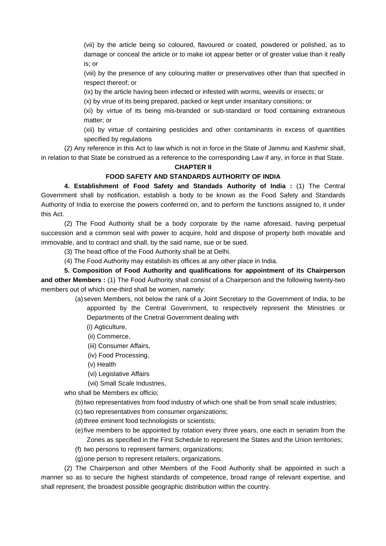(vii) by the article being so coloured, flavoured or coated, powdered or polished, as to damage or conceal the article or to make iot appear better or of greater value than it really is; or

(viii) by the presence of any colouring matter or preservatives other than that specified in respect thereof; or

(ix) by the article having been infected or infested with worms, weevils or insects; or

(x) by virue of its being prepared, packed or kept under insanitary consitions; or

(xi) by virtue of its being mis-branded or sub-standard or food containing extraneous matter; or

(xii) by virtue of containing pesticides and other contaminants in excess of quantities specified by regulations

 (2) Any reference in this Act to law which is not in force in the State of Jammu and Kashmir shall, in relation to that State be construed as a reference to the corresponding Law if any, in force in that State.

#### **CHAPTER II**

# **FOOD SAFETY AND STANDARDS AUTHORITY OF INDIA**

 **4. Establishment of Food Safety and Standads Authority of India :** (1) The Central Government shall by notification, establish a body to be known as the Food Safety and Standards Authority of India to exercise the powers conferred on, and to perform the functions assigned to, it under this Act.

 (2) The Food Authority shall be a body corporate by the name aforesaid, having perpetual succession and a common seal with power to acquire, hold and dispose of property both movable and immovable, and to contract and shall, by the said name, sue or be sued.

(3) The head office of the Food Authority shall be at Delhi.

(4) The Food Authority may establish its offices at any other place in India.

**5. Composition of Food Authority and qualifications for appointment of its Chairperson and other Members :** (1) The Food Authority shall consist of a Chairperson and the following twenty-two members out of which one-third shall be women, namely:

> (a) seven Members, not below the rank of a Joint Secretary to the Government of India, to be appointed by the Central Government, to respectively represent the Ministries or Departments of the Cnetral Government dealing with

- (i) Agticulture,
- (ii) Commerce,
- (iii) Consumer Affairs,
- (iv) Food Processing,
- (v) Health
- (vi) Legislative Affairs

(vii) Small Scale Industries,

who shall be Members ex officio;

- (b) two representatives from food industry of which one shall be from small scale industries;
- (c) two representatives from consumer organizations;
- (d) three eminent food technologists or scientists;
- (e) five members to be appointed by rotation every three years, one each in seriatim from the Zones as specified in the First Schedule to represent the States and the Union territories;
- (f) two persons to represent farmers; organizations;
- (g) one person to represent retailers; organizations.

 (2) The Chairperson and other Members of the Food Authority shall be appointed in such a manner so as to secure the highest standards of competence, broad range of relevant expertise, and shall represent, the broadest possible geographic distribution within the country.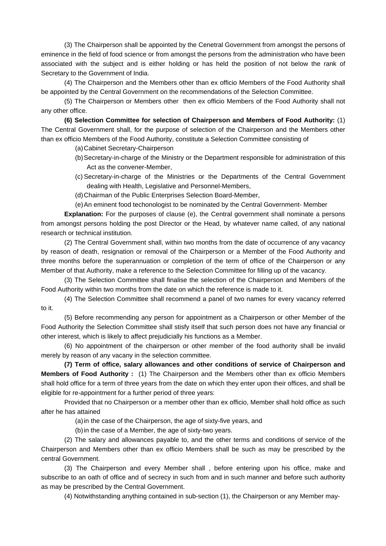(3) The Chairperson shall be appointed by the Cenetral Government from amongst the persons of eminence in the field of food science or from amongst the persons from the administration who have been associated with the subject and is either holding or has held the position of not below the rank of Secretary to the Government of India.

 (4) The Chairperson and the Members other than ex officio Members of the Food Authority shall be appointed by the Central Government on the recommendations of the Selection Committee.

 (5) The Chairperson or Members other then ex officio Members of the Food Authority shall not any other office.

**(6) Selection Committee for selection of Chairperson and Members of Food Authority:** (1) The Central Government shall, for the purpose of selection of the Chairperson and the Members other than ex officio Members of the Food Authority, constitute a Selection Committee consisting of

(a) Cabinet Secretary-Chairperson

- (b) Secretary-in-charge of the Ministry or the Department responsible for administration of this Act as the convener-Member,
- (c) Secretary-in-charge of the Ministries or the Departments of the Central Government dealing with Health, Legislative and Personnel-Members,
- (d) Chairman of the Public Enterprises Selection Board-Member,

(e) An eminent food techonologist to be nominated by the Central Government- Member

**Explanation:** For the purposes of clause (e), the Central government shall nominate a persons from amongst persons holding the post Director or the Head, by whatever name called, of any national research or technical institution.

 (2) The Central Government shall, within two months from the date of occurrence of any vacancy by reason of death, resignation or removal of the Chairperson or a Member of the Food Authority and three months before the superannuation or completion of the term of office of the Chairperson or any Member of that Authority, make a reference to the Selection Committee for filling up of the vacancy.

 (3) The Selection Committee shall finalise the selection of the Chairperson and Members of the Food Authority within two months from the date on which the reference is made to it.

 (4) The Selection Committee shall recommend a panel of two names for every vacancy referred to it.

 (5) Before recommending any person for appointment as a Chairperson or other Member of the Food Authority the Selection Committee shall stisfy itself that such person does not have any financial or other interest, which is likely to affect prejudicially his functions as a Member.

 (6) No appointment of the chairperson or other member of the food authority shall be invalid merely by reason of any vacany in the selection committee.

**(7) Term of office, salary allowances and other conditions of service of Chairperson and Members of Food Authority :** (1) The Chairperson and the Members other than ex officio Members shall hold office for a term of three years from the date on which they enter upon their offices, and shall be eligible for re-appointment for a further period of three years:

 Provided that no Chairperson or a member other than ex officio, Member shall hold office as such after he has attained

(a) in the case of the Chairperson, the age of sixty-five years, and

(b) in the case of a Member, the age of sixty-two years.

 (2) The salary and allowances payable to, and the other terms and conditions of service of the Chairperson and Members other than ex officio Members shall be such as may be prescribed by the central Government.

 (3) The Chairperson and every Member shall , before entering upon his office, make and subscribe to an oath of office and of secrecy in such from and in such manner and before such authority as may be prescribed by the Central Government.

(4) Notwithstanding anything contained in sub-section (1), the Chairperson or any Member may-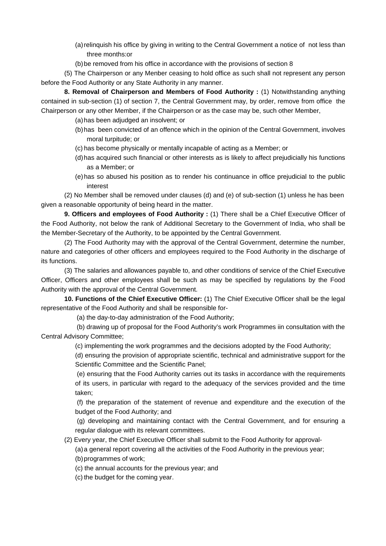- (a) relinquish his office by giving in writing to the Central Government a notice of not less than three months:or
- (b) be removed from his office in accordance with the provisions of section 8

 (5) The Chairperson or any Menber ceasing to hold office as such shall not represent any person before the Food Authority or any State Authority in any manner.

**8. Removal of Chairperson and Members of Food Authority :** (1) Notwithstanding anything contained in sub-section (1) of section 7, the Central Government may, by order, remove from office the Chairperson or any other Member, if the Chairperson or as the case may be, such other Member,

- (a) has been adjudged an insolvent; or
- (b) has been convicted of an offence which in the opinion of the Central Government, involves moral turpitude; or
- (c) has become physically or mentally incapable of acting as a Member; or
- (d) has acquired such financial or other interests as is likely to affect prejudicially his functions as a Member; or
- (e) has so abused his position as to render his continuance in office prejudicial to the public interest

 (2) No Member shall be removed under clauses (d) and (e) of sub-section (1) unless he has been given a reasonable opportunity of being heard in the matter.

**9. Officers and employees of Food Authority :** (1) There shall be a Chief Executive Officer of the Food Authority, not below the rank of Additional Secretary to the Government of India, who shall be the Member-Secretary of the Authority, to be appointed by the Central Government.

 (2) The Food Authority may with the approval of the Central Government, determine the number, nature and categories of other officers and employees required to the Food Authority in the discharge of its functions.

 (3) The salaries and allowances payable to, and other conditions of service of the Chief Executive Officer, Officers and other employees shall be such as may be specified by regulations by the Food Authority with the approval of the Central Government.

**10. Functions of the Chief Executive Officer:** (1) The Chief Executive Officer shall be the legal representative of the Food Authority and shall be responsible for-

(a) the day-to-day administration of the Food Authority;

 (b) drawing up of proposal for the Food Authority's work Programmes iin consultation with the Central Advisory Committee;

(c) implementing the work programmes and the decisions adopted by the Food Authority;

(d) ensuring the provision of appropriate scientific, technical and administrative support for the Scientific Committee and the Scientific Panel;

 (e) ensuring that the Food Authority carries out its tasks in accordance with the requirements of its users, in particular with regard to the adequacy of the services provided and the time taken;

 (f) the preparation of the statement of revenue and expenditure and the execution of the budget of the Food Authority; and

 (g) developing and maintaining contact with the Central Government, and for ensuring a regular dialogue with its relevant committees.

(2) Every year, the Chief Executive Officer shall submit to the Food Authority for approval-

(a) a general report covering all the activities of the Food Authority in the previous year; (b) programmes of work;

- (c) the annual accounts for the previous year; and
- (c) the budget for the coming year.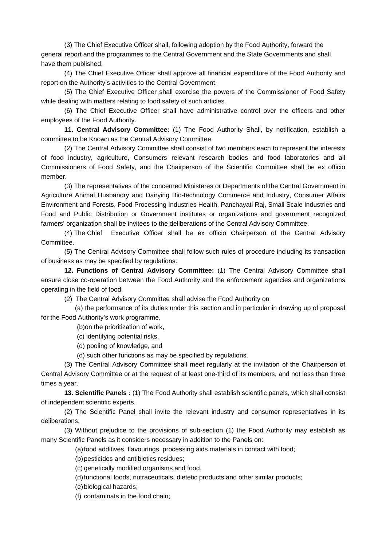(3) The Chief Executive Officer shall, following adoption by the Food Authority, forward the general report and the programmes to the Central Government and the State Governments and shall have them published.

 (4) The Chief Executive Officer shall approve all financial expenditure of the Food Authority and report on the Authority's activities to the Central Government.

 (5) The Chief Executive Officer shall exercise the powers of the Commissioner of Food Safety while dealing with matters relating to food safety of such articles.

 (6) The Chief Executive Officer shall have administrative control over the officers and other employees of the Food Authority.

**11. Central Advisory Committee:** (1) The Food Authority Shall, by notification, establish a committee to be Known as the Central Advisory Committee

 (2) The Central Advisory Committee shall consist of two members each to represent the interests of food industry, agriculture, Consumers relevant research bodies and food laboratories and all Commissioners of Food Safety, and the Chairperson of the Scientific Committee shall be ex officio member.

 (3) The representatives of the concerned Ministeres or Departments of the Central Government in Agriculture Animal Husbandry and Dairying Bio-technology Commerce and Industry, Consumer Affairs Environment and Forests, Food Processing Industries Health, Panchayati Raj, Small Scale Industries and Food and Public Distribution or Government institutes or organizations and government recognized farmers' organization shall be invitees to the deliberations of the Central Advisory Committee.

 (4) The Chief Executive Officer shall be ex officio Chairperson of the Central Advisory Committee.

 (5) The Central Advisory Committee shall follow such rules of procedure including its transaction of business as may be specified by regulations.

**12. Functions of Central Advisory Committee:** (1) The Central Advisory Committee shall ensure close co-operation between the Food Authority and the enforcement agencies and organizations operating in the field of food.

(2) The Central Advisory Committee shall advise the Food Authority on

 (a) the performance of its duties under this section and in particular in drawing up of proposal for the Food Authority's work programme,

(b)on the prioritization of work,

(c) identifying potential risks,

(d) pooling of knowledge, and

(d) such other functions as may be specified by regulations.

 (3) The Central Advisory Committee shall meet regularly at the invitation of the Chairperson of Central Advisory Committee or at the request of at least one-third of its members, and not less than three times a year.

**13. Scientific Panels :** (1) The Food Authority shall establish scientific panels, which shall consist of independent scientific experts.

 (2) The Scientific Panel shall invite the relevant industry and consumer representatives in its deliberations.

 (3) Without prejudice to the provisions of sub-section (1) the Food Authority may establish as many Scientific Panels as it considers necessary in addition to the Panels on:

(a) food additives, flavourings, processing aids materials in contact with food;

(b) pesticides and antibiotics residues;

(c) genetically modified organisms and food,

(d) functional foods, nutraceuticals, dietetic products and other similar products;

(e) biological hazards;

(f) contaminats in the food chain;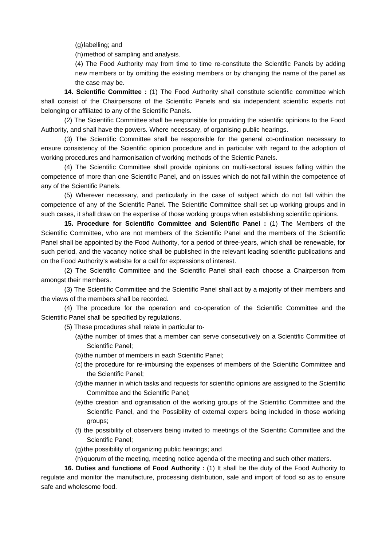(g) labelling; and

(h) method of sampling and analysis.

(4) The Food Authority may from time to time re-constitute the Scientific Panels by adding new members or by omitting the existing members or by changing the name of the panel as the case may be.

**14. Scientific Committee :** (1) The Food Authority shall constitute scientific committee which shall consist of the Chairpersons of the Scientific Panels and six independent scientific experts not belonging or affiliated to any of the Scientific Panels.

 (2) The Scientific Committee shall be responsible for providing the scientific opinions to the Food Authority, and shall have the powers. Where necessary, of organising public hearings.

 (3) The Scientific Committee shall be responsible for the general co-ordination necessary to ensure consistency of the Scientific opinion procedure and in particular with regard to the adoption of working procedures and harmonisation of working methods of the Scientic Panels.

 (4) The Scientific Committee shall provide opinions on multi-sectoral issues falling within the competence of more than one Scientific Panel, and on issues which do not fall within the competence of any of the Scientific Panels.

 (5) Wherever necessary, and particularly in the case of subject which do not fall within the competence of any of the Scientific Panel. The Scientific Committee shall set up working groups and in such cases, it shall draw on the expertise of those working groups when establishing scientific opinions.

**15. Procedure for Scientific Committee and Scientific Panel :** (1) The Members of the Scientific Committee, who are not members of the Scientific Panel and the members of the Scientific Panel shall be appointed by the Food Authority, for a period of three-years, which shall be renewable, for such period, and the vacancy notice shall be published in the relevant leading scientific publications and on the Food Authority's website for a call for expressions of interest.

 (2) The Scientific Committee and the Scientific Panel shall each choose a Chairperson from amongst their members.

 (3) The Scientific Committee and the Scientific Panel shall act by a majority of their members and the views of the members shall be recorded.

 (4) The procedure for the operation and co-operation of the Scientific Committee and the Scientific Panel shall be specified by regulations.

(5) These procedures shall relate in particular to-

- (a) the number of times that a member can serve consecutively on a Scientific Committee of Scientific Panel;
- (b) the number of members in each Scientific Panel;
- (c) the procedure for re-imbursing the expenses of members of the Scientific Committee and the Scientific Panel;
- (d) the manner in which tasks and requests for scientific opinions are assigned to the Scientific Committee and the Scientific Panel;
- (e) the creation and ogranisation of the working groups of the Scientific Committee and the Scientific Panel, and the Possibility of external expers being included in those working groups;
- (f) the possibility of observers being invited to meetings of the Scientific Committee and the Scientific Panel;
- (g) the possibility of organizing public hearings; and
- (h) quorum of the meeting, meeting notice agenda of the meeting and such other matters.

**16. Duties and functions of Food Authority :** (1) It shall be the duty of the Food Authority to regulate and monitor the manufacture, processing distribution, sale and import of food so as to ensure safe and wholesome food.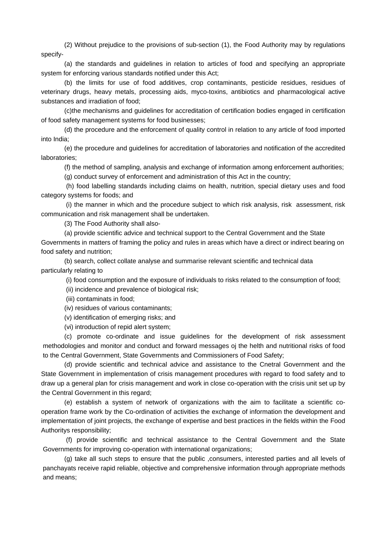(2) Without prejudice to the provisions of sub-section (1), the Food Authority may by regulations specify-

 (a) the standards and guidelines in relation to articles of food and specifying an appropriate system for enforcing various standards notified under this Act;

 (b) the limits for use of food additives, crop contaminants, pesticide residues, residues of veterinary drugs, heavy metals, processing aids, myco-toxins, antibiotics and pharmacological active substances and irradiation of food;

 (c)the mechanisms and guidelines for accreditation of certification bodies engaged in certification of food safety management systems for food businesses;

 (d) the procedure and the enforcement of quality control in relation to any article of food imported into India;

 (e) the procedure and guidelines for accreditation of laboratories and notification of the accredited laboratories;

(f) the method of sampling, analysis and exchange of information among enforcement authorities;

(g) conduct survey of enforcement and administration of this Act in the country;

 (h) food labelling standards including claims on health, nutrition, special dietary uses and food category systems for foods; and

 (i) the manner in which and the procedure subject to which risk analysis, risk assessment, risk communication and risk management shall be undertaken.

(3) The Food Authority shall also-

(a) provide scientific advice and technical support to the Central Government and the State

Governments in matters of framing the policy and rules in areas which have a direct or indirect bearing on food safety and nutrition;

 (b) search, collect collate analyse and summarise relevant scientific and technical data particularly relating to

(i) food consumption and the exposure of individuals to risks related to the consumption of food;

(ii) incidence and prevalence of biological risk;

(iii) contaminats in food;

(iv) residues of various contaminants;

(v) identification of emerging risks; and

(vi) introduction of repid alert system;

 (c) promote co-ordinate and issue guidelines for the development of risk assessment methodologies and monitor and conduct and forward messages oj the helth and nutritional risks of food to the Central Government, State Governments and Commissioners of Food Safety;

 (d) provide scientific and technical advice and assistance to the Cnetral Government and the State Government in implementation of crisis management procedures with regard to food safety and to draw up a general plan for crisis management and work in close co-operation with the crisis unit set up by the Central Government in this regard;

 (e) establish a system of network of organizations with the aim to facilitate a scientific cooperation frame work by the Co-ordination of activities the exchange of information the development and implementation of joint projects, the exchange of expertise and best practices in the fields within the Food Authoritys responsibility;

(f) provide scientific and technical assistance to the Central Government and the State Governments for improving co-operation with international organizations;

(g) take all such steps to ensure that the public ,consumers, interested parties and all levels of panchayats receive rapid reliable, objective and comprehensive information through appropriate methods and means;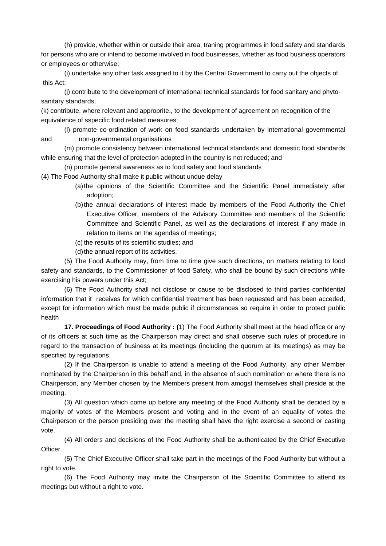(h) provide, whether within or outside their area, traning programmes in food safety and standards for persons who are or intend to become involved in food businesses, whether as food business operators or employees or otherwise;

 (i) undertake any other task assigned to it by the Central Government to carry out the objects of this Act;

 (j) contribute to the development of international technical standards for food sanitary and phytosanitary standards;

(k) contribute, where relevant and approprite., to the development of agreement on recognition of the equivalence of sspecific food related measures;

 (l) promote co-ordination of work on food standards undertaken by international governmental and non-governmental organisations

 (m) promote consistency between international technical standards and domestic food standards while ensuring that the level of protection adopted in the country is not reduced; and

(n) promote general awareness as to food safety and food standards

(4) The Food Authority shall make it public without undue delay

- (a) the opinions of the Scientific Committee and the Scientific Panel immediately after adoption;
- (b) the annual declarations of interest made by members of the Food Authority the Chief Executive Officer, members of the Advisory Committee and members of the Scientific Committee and Scientific Panel, as well as the declarations of interest if any made in relation to items on the agendas of meetings;
- (c) the results of its scientific studies; and
- (d) the annual report of its activities.

 (5) The Food Authority may, from time to time give such directions, on matters relating to food safety and standards, to the Commissioner of food Safety, who shall be bound by such directions while exercising his powers under this Act;

 (6) The Food Authority shall not disclose or cause to be disclosed to third parties confidential information that it receives for which confidential treatment has been requested and has been acceded, except for information which must be made public if circumstances so require in order to protect public health

**17. Proceedings of Food Authority : (**1) The Food Authority shall meet at the head office or any of its officers at such time as the Chairperson may direct and shall observe such rules of procedure in regard to the transaction of business at its meetings (including the quorum at its meetings) as may be specified by regulations.

 (2) If the Chairperson is unable to attend a meeting of the Food Authority, any other Member nominated by the Chairperson in this behalf and, in the absence of such nomination or where there is no Chairperson, any Member chosen by the Members present from amogst themselves shall preside at the meeting.

 (3) All question which come up before any meeting of the Food Authority shall be decided by a majority of votes of the Members present and voting and in the event of an equality of votes the Chairperson or the person presiding over the meeting shall have the right exercise a second or casting vote.

 (4) All orders and decisions of the Food Authority shall be authenticated by the Chief Executive Officer.

 (5) The Chief Executive Officer shall take part in the meetings of the Food Authority but without a right to vote.

 (6) The Food Authority may invite the Chairperson of the Scientific Committee to attend its meetings but without a right to vote.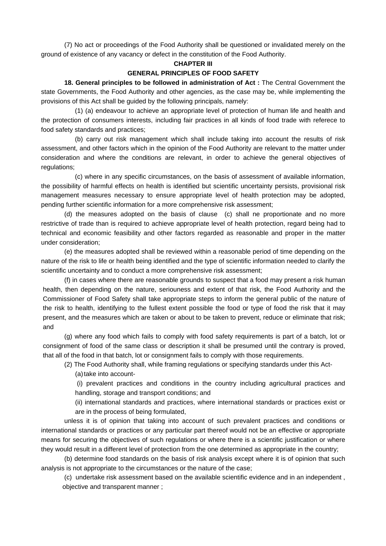(7) No act or proceedings of the Food Authority shall be questioned or invalidated merely on the ground of existence of any vacancy or defect in the constitution of the Food Authority.

#### **CHAPTER III**

### **GENERAL PRINCIPLES OF FOOD SAFETY**

 **18. General principles to be followed in administration of Act :** The Central Government the state Governments, the Food Authority and other agencies, as the case may be, while implementing the provisions of this Act shall be guided by the following principals, namely:

 (1) (a) endeavour to achieve an appropriate level of protection of human life and health and the protection of consumers interests, including fair practices in all kinds of food trade with referece to food safety standards and practices;

(b) carry out risk management which shall include taking into account the results of risk assessment, and other factors which in the opinion of the Food Authority are relevant to the matter under consideration and where the conditions are relevant, in order to achieve the general objectives of regulations;

 (c) where in any specific circumstances, on the basis of assessment of available information, the possibility of harmful effects on health is identified but scientific uncertainty persists, provisional risk management measures necessary to ensure appropriate level of health protection may be adopted, pending further scientific information for a more comprehensive risk assessment;

(d) the measures adopted on the basis of clause (c) shall ne proportionate and no more restrictive of trade than is required to achieve appropriate level of health protection, regard being had to technical and economic feasibility and other factors regarded as reasonable and proper in the matter under consideration;

 (e) the measures adopted shall be reviewed within a reasonable period of time depending on the nature of the risk to life or health being identified and the type of scientific information needed to clarify the scientific uncertainty and to conduct a more comprehensive risk assessment;

 (f) in cases where there are reasonable grounds to suspect that a food may present a risk human health, then depending on the nature, seriouness and extent of that risk, the Food Authority and the Commissioner of Food Safety shall take appropriate steps to inform the general public of the nature of the risk to health, identifying to the fullest extent possible the food or type of food the risk that it may present, and the measures which are taken or about to be taken to prevent, reduce or eliminate that risk; and

 (g) where any food which fails to comply with food safety requirements is part of a batch, lot or consignment of food of the same class or description it shall be presumed until the contrary is proved, that all of the food in that batch, lot or consignment fails to comply with those requirements.

(2) The Food Authority shall, while framing regulations or specifying standards under this Act-

(a) take into account-

 (i) prevalent practices and conditions in the country including agricultural practices and handling, storage and transport conditions; and

(ii) international standards and practices, where international standards or practices exist or are in the process of being formulated,

 unless it is of opinion that taking into account of such prevalent practices and conditions or international standards or practices or any particular part thereof would not be an effective or appropriate means for securing the objectives of such regulations or where there is a scientific justification or where they would result in a different level of protection from the one determined as appropriate in the country;

 (b) determine food standards on the basis of risk analysis except where it is of opinion that such analysis is not appropriate to the circumstances or the nature of the case;

 (c) undertake risk assessment based on the available scientific evidence and in an independent , objective and transparent manner ;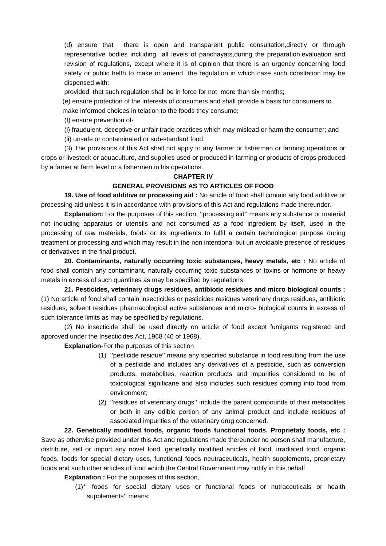(d) ensure that there is open and transparent public consultation,directly or through representative bodies including all levels of panchayats,during the preparation,evaluation and revision of regulations, except where it is of opinion that there is an urgency concerning food safety or public helth to make or amend the regulation in which case such consltation may be dispensed with:

provided that such regulation shall be in force for not more than six months;

(e) ensure protection of the interests of consumers and shall provide a basis for consumers to make informed choices in telation to the foods they consume;

(f) ensure prevention of-

(i) fraudulent, deceptive or unfair trade practices which may mislead or harm the consumer; and

(ii) unsafe or contaminated or sub-standard food.

 (3) The provisions of this Act shall not apply to any farmer or fisherman or farming operations or crops or livestock or aquaculture, and supplies used or produced in farming or products of crops produced by a famer at farm level or a fishermen in his operations.

#### **CHAPTER IV**

# **GENERAL PROVISIONS AS TO ARTICLES OF FOOD**

**19. Use of food additive or processing aid :** No article of food shall contain any food additive or processing aid unless it is in accordance with provisions of this Act and regulations made thereunder.

**Explanation:** For the purposes of this section, ''processing aid'' means any substance or material not including apparatus or utensils and not consumed as a food ingredient by itself, used in the processing of raw materials, foods or its ingredients to fulfil a certain technological purpose during treatment or processing and which may result in the non intentional but un avoidable presence of residues or derivatives in the final product.

**20. Contaminants, naturally occurring toxic substances, heavy metals, etc :** No article of food shall contain any contaminant, naturally occurring toxic substances or toxins or hormone or heavy metals in excess of such quantities as may be specified by regulations.

**21. Pesticides, veterinary drugs residues, antibiotic residues and micro biological counts :** (1) No article of food shall contain insecticides or pesticides residues veterinary drugs residues, antibiotic residues, solvent residues pharmacological active substances and micro- biological counts in excess of such tolerance limits as may be specified by regulations.

(2) No insecticide shall be used directly on article of food except fumigants registered and approved under the Insecticides Act, 1968 (46 of 1968).

**Explanation**-For the purposes of this section

- (1) ''pesticide residue'' means any specified substance in food resulting from the use of a pesticide and includes any derivatives of a pesticide, such as conversion products, metabolites, reaction products and impurities considered to be of toxicological significane and also includes such residues coming into food from environment;
- (2) ''residues of veterinary drugs'' include the parent compounds of their metabolites or both in any edible portion of any animal product and include residues of associated impurities of the veterinary drug concerned.

**22. Genetically modified foods, organic foods functional foods. Proprietaty foods, etc :**  Save as otherwise provided under this Act and regulations made thereunder no person shall manufacture, distribute, sell or import any novel food, genetically modified articles of food, irradiated food, organic foods, foods for special dietary uses, functional foods neutraceuticals, health supplements, proprietary foods and such other articles of food which the Central Government may notify in this behalf

**Explanation :** For the purposes of this section,

(1) '' foods for special dietary uses or functional foods or nutraceuticals or health supplements'' means: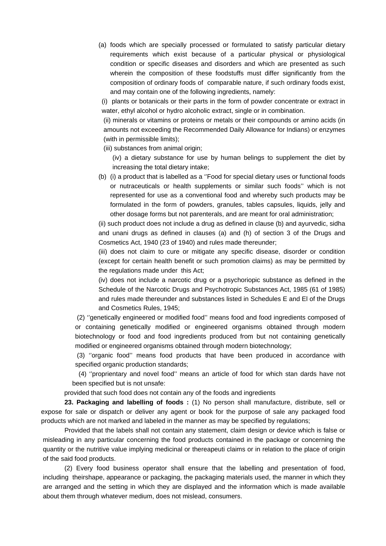(a) foods which are specially processed or formulated to satisfy particular dietary requirements which exist because of a particular physical or physiological condition or specific diseases and disorders and which are presented as such wherein the composition of these foodstuffs must differ significantly from the composition of ordinary foods of comparable nature, if such ordinary foods exist, and may contain one of the following ingredients, namely:

(i) plants or botanicals or their parts in the form of powder concentrate or extract in water, ethyl alcohol or hydro alcoholic extract, single or in combination.

(ii) minerals or vitamins or proteins or metals or their compounds or amino acids (in amounts not exceeding the Recommended Daily Allowance for Indians) or enzymes (with in permissible limits);

(iii) substances from animal origin;

(iv) a dietary substance for use by human belings to supplement the diet by increasing the total dietary intake;

(b) (i) a product that is labelled as a ''Food for special dietary uses or functional foods or nutraceuticals or health supplements or similar such foods'' which is not represented for use as a conventional food and whereby such products may be formulated in the form of powders, granules, tables capsules, liquids, jelly and other dosage forms but not parenterals, and are meant for oral administration;

(ii) such product does not include a drug as defined in clause (b) and ayurvedic, sidha and unani drugs as defined in clauses (a) and (h) of section 3 of the Drugs and Cosmetics Act, 1940 (23 of 1940) and rules made thereunder;

(iii) does not claim to cure or mitigate any specific disease, disorder or condition (except for certain health benefit or such promotion claims) as may be permitted by the regulations made under this Act;

(iv) does not include a narcotic drug or a psychoriopic substance as defined in the Schedule of the Narcotic Drugs and Psychotropic Substances Act, 1985 (61 of 1985) and rules made thereunder and substances listed in Schedules E and El of the Drugs and Cosmetics Rules, 1945;

 (2) ''genetically engineered or modified food'' means food and food ingredients composed of or containing genetically modified or engineered organisms obtained through modern biotechnology or food and food ingredients produced from but not containing genetically modified or engineered organisms obtained through modern biotechnology;

 (3) ''organic food'' means food products that have been produced in accordance with specified organic production standards;

 (4) ''proprientary and novel food'' means an article of food for which stan dards have not been specified but is not unsafe:

provided that such food does not contain any of the foods and ingredients

**23. Packaging and labelling of foods :** (1) No person shall manufacture, distribute, sell or expose for sale or dispatch or deliver any agent or book for the purpose of sale any packaged food products which are not marked and labeled in the manner as may be specified by regulations;

Provided that the labels shall not contain any statement, claim design or device which is false or misleading in any particular concerning the food products contained in the package or concerning the quantity or the nutritive value implying medicinal or thereapeuti claims or in relation to the place of origin of the said food products.

(2) Every food business operator shall ensure that the labelling and presentation of food, including theirshape, appearance or packaging, the packaging materials used, the manner in which they are arranged and the setting in which they are displayed and the information which is made available about them through whatever medium, does not mislead, consumers.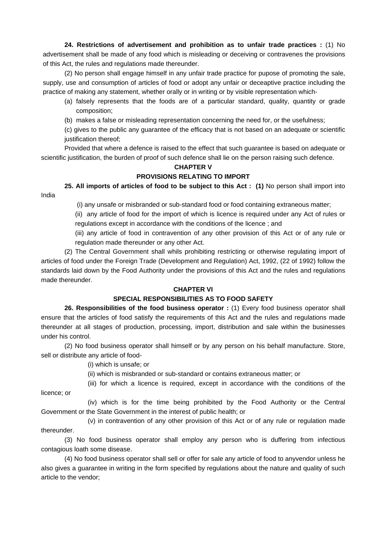**24. Restrictions of advertisement and prohibition as to unfair trade practices :** (1) No advertisement shall be made of any food which is misleading or deceiving or contravenes the provisions of this Act, the rules and regulations made thereunder.

(2) No person shall engage himself in any unfair trade practice for pupose of promoting the sale, supply, use and consumption of articles of food or adopt any unfair or deceaptive practice including the practice of making any statement, whether orally or in writing or by visible representation which-

- (a) falsely represents that the foods are of a particular standard, quality, quantity or grade composition;
- (b) makes a false or misleading representation concerning the need for, or the usefulness;

(c) gives to the public any guarantee of the efficacy that is not based on an adequate or scientific justification thereof:

 Provided that where a defence is raised to the effect that such guarantee is based on adequate or scientific justification, the burden of proof of such defence shall lie on the person raising such defence.

## **CHAPTER V**

# **PROVISIONS RELATING TO IMPORT**

 **25. All imports of articles of food to be subject to this Act : (1)** No person shall import into India

(i) any unsafe or misbranded or sub-standard food or food containing extraneous matter;

(ii) any article of food for the import of which is licence is required under any Act of rules or regulations except in accordance with the conditions of the licence ; and

(iii) any article of food in contravention of any other provision of this Act or of any rule or regulation made thereunder or any other Act.

 (2) The Central Government shall whils prohibiting restricting or otherwise regulating import of articles of food under the Foreign Trade (Development and Regulation) Act, 1992, (22 of 1992) follow the standards laid down by the Food Authority under the provisions of this Act and the rules and regulations made thereunder.

# **CHAPTER VI**

# **SPECIAL RESPONSIBILITIES AS TO FOOD SAFETY**

 **26. Responsibilities of the food business operator :** (1) Every food business operator shall ensure that the articles of food satisfy the requirements of this Act and the rules and regulations made thereunder at all stages of production, processing, import, distribution and sale within the businesses under his control.

 (2) No food business operator shall himself or by any person on his behalf manufacture. Store, sell or distribute any article of food-

(i) which is unsafe; or

(ii) which is misbranded or sub-standard or contains extraneous matter; or

 (iii) for which a licence is required, except in accordance with the conditions of the licence; or

 (iv) which is for the time being prohibited by the Food Authority or the Central Government or the State Government in the interest of public health; or

 (v) in contravention of any other provision of this Act or of any rule or regulation made thereunder.

 (3) No food business operator shall employ any person who is duffering from infectious contagious loath some disease.

 (4) No food business operator shall sell or offer for sale any article of food to anyvendor unless he also gives a guarantee in writing in the form specified by regulations about the nature and quality of such article to the vendor;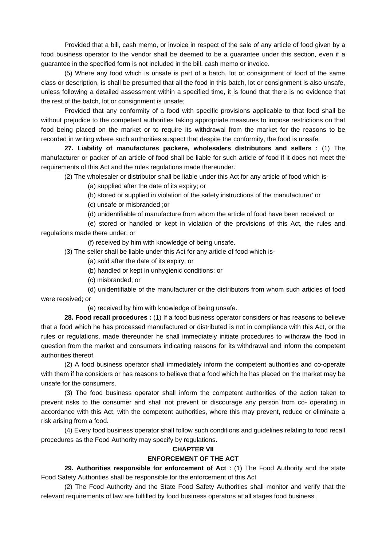Provided that a bill, cash memo, or invoice in respect of the sale of any article of food given by a food business operator to the vendor shall be deemed to be a guarantee under this section, even if a guarantee in the specified form is not included in the bill, cash memo or invoice.

 (5) Where any food which is unsafe is part of a batch, lot or consignment of food of the same class or description, is shall be presumed that all the food in this batch, lot or consignment is also unsafe, unless following a detailed assessment within a specified time, it is found that there is no evidence that the rest of the batch, lot or consignment is unsafe;

 Provided that any conformity of a food with specific provisions applicable to that food shall be without prejudice to the competent authorities taking appropriate measures to impose restrictions on that food being placed on the market or to require its withdrawal from the market for the reasons to be recorded in writing where such authorities suspect that despite the conformity, the food is unsafe.

**27. Liability of manufactures packere, wholesalers distributors and sellers :** (1) The manufacturer or packer of an article of food shall be liable for such article of food if it does not meet the requirements of this Act and the rules regulations made thereunder.

(2) The wholesaler or distributor shall be liable under this Act for any article of food which is-

(a) supplied after the date of its expiry; or

(b) stored or supplied in violation of the safety instructions of the manufacturer' or

(c) unsafe or misbranded ;or

(d) unidentifiable of manufacture from whom the article of food have been received; or

 (e) stored or handled or kept in violation of the provisions of this Act, the rules and regulations made there under; or

(f) received by him with knowledge of being unsafe.

(3) The seller shall be liable under this Act for any article of food which is-

(a) sold after the date of its expiry; or

(b) handled or kept in unhygienic conditions; or

(c) misbranded; or

 (d) unidentifiable of the manufacturer or the distributors from whom such articles of food were received; or

(e) received by him with knowledge of being unsafe.

**28. Food recall procedures :** (1) If a food business operator considers or has reasons to believe that a food which he has processed manufactured or distributed is not in compliance with this Act, or the rules or regulations, made thereunder he shall immediately initiate procedures to withdraw the food in question from the market and consumers indicating reasons for its withdrawal and inform the competent authorities thereof.

 (2) A food business operator shall immediately inform the competent authorities and co-operate with them if he considers or has reasons to believe that a food which he has placed on the market may be unsafe for the consumers.

 (3) The food business operator shall inform the competent authorities of the action taken to prevent risks to the consumer and shall not prevent or discourage any person from co- operating in accordance with this Act, with the competent authorities, where this may prevent, reduce or eliminate a risk arising from a food.

 (4) Every food business operator shall follow such conditions and guidelines relating to food recall procedures as the Food Authority may specify by regulations.

# **CHAPTER VII**

# **ENFORCEMENT OF THE ACT**

**29. Authorities responsible for enforcement of Act:** (1) The Food Authority and the state Food Safety Authorities shall be responsible for the enforcement of this Act

(2) The Food Authority and the State Food Safety Authorities shall monitor and verify that the relevant requirements of law are fulfilled by food business operators at all stages food business.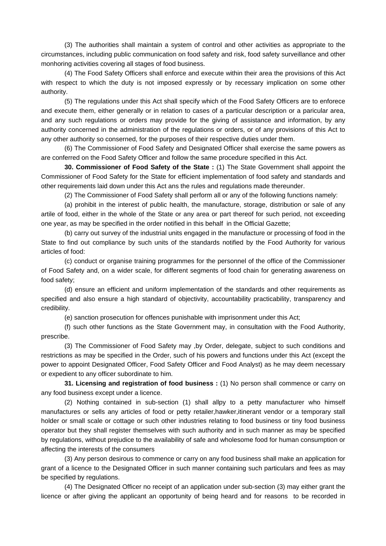(3) The authorities shall maintain a system of control and other activities as appropriate to the circumstances, including public communication on food safety and risk, food safety surveillance and other monhoring activities covering all stages of food business.

(4) The Food Safety Officers shall enforce and execute within their area the provisions of this Act with respect to which the duty is not imposed expressly or by recessary implication on some other authority.

(5) The regulations under this Act shall specify which of the Food Safety Officers are to enforece and execute them, either generally or in relation to cases of a particular description or a paricular area, and any such regulations or orders may provide for the giving of assistance and information, by any authority concerned in the administration of the regulations or orders, or of any provisions of this Act to any other authority so conserned, for the purposes of their respective duties under them.

(6) The Commissioner of Food Safety and Designated Officer shall exercise the same powers as are conferred on the Food Safety Officer and follow the same procedure specified in this Act.

**30. Commissioner of Food Safety of the State :** (1) The State Government shall appoint the Commissioner of Food Safety for the State for efficient implementation of food safety and standards and other requirements laid down under this Act ans the rules and regulations made thereunder.

(2) The Commissioner of Food Safety shall perform all or any of the following functions namely:

(a) prohibit in the interest of public health, the manufacture, storage, distribution or sale of any artile of food, either in the whole of the State or any area or part thereof for such period, not exceeding one year, as may be specified in the order notified in this behalf in the Official Gazette;

(b) carry out survey of the industrial units engaged in the manufacture or processing of food in the State to find out compliance by such units of the standards notified by the Food Authority for various articles of food:

(c) conduct or organise training programmes for the personnel of the office of the Commissioner of Food Safety and, on a wider scale, for different segments of food chain for generating awareness on food safety;

(d) ensure an efficient and uniform implementation of the standards and other requirements as specified and also ensure a high standard of objectivity, accountability practicability, transparency and credibility.

(e) sanction prosecution for offences punishable with imprisonment under this Act;

(f) such other functions as the State Government may, in consultation with the Food Authority, prescribe.

(3) The Commissioner of Food Safety may ,by Order, delegate, subject to such conditions and restrictions as may be specified in the Order, such of his powers and functions under this Act (except the power to appoint Designated Officer, Food Safety Officer and Food Analyst) as he may deem necessary or expedient to any officer subordinate to him.

**31. Licensing and registration of food business :** (1) No person shall commence or carry on any food business except under a licence.

(2) Nothing contained in sub-section (1) shall allpy to a petty manufacturer who himself manufactures or sells any articles of food or petty retailer,hawker,itinerant vendor or a temporary stall holder or small scale or cottage or such other industries relating to food business or tiny food business operator but they shall register themselves with such authority and in such manner as may be specified by regulations, without prejudice to the availability of safe and wholesome food for human consumption or affecting the interests of the consumers

(3) Any person desirous to commence or carry on any food business shall make an application for grant of a licence to the Designated Officer in such manner containing such particulars and fees as may be specified by regulations.

(4) The Designated Officer no receipt of an application under sub-section (3) may either grant the licence or after giving the applicant an opportunity of being heard and for reasons to be recorded in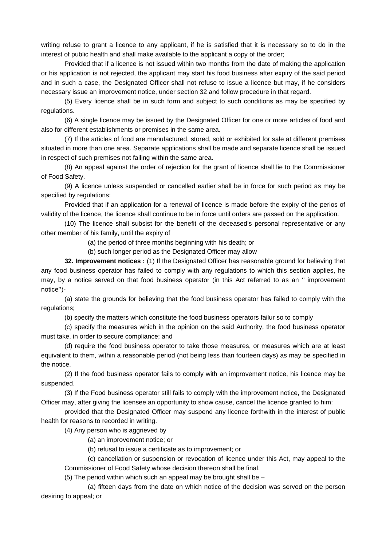writing refuse to grant a licence to any applicant, if he is satisfied that it is necessary so to do in the interest of public health and shall make available to the applicant a copy of the order;

Provided that if a licence is not issued within two months from the date of making the application or his application is not rejected, the applicant may start his food business after expiry of the said period and in such a case, the Designated Officer shall not refuse to issue a licence but may, if he considers necessary issue an improvement notice, under section 32 and follow procedure in that regard.

(5) Every licence shall be in such form and subject to such conditions as may be specified by regulations.

(6) A single licence may be issued by the Designated Officer for one or more articles of food and also for different establishments or premises in the same area.

(7) If the articles of food are manufactured, stored, sold or exhibited for sale at different premises situated in more than one area. Separate applications shall be made and separate licence shall be issued in respect of such premises not falling within the same area.

(8) An appeal against the order of rejection for the grant of licence shall lie to the Commissioner of Food Safety.

(9) A licence unless suspended or cancelled earlier shall be in force for such period as may be specified by regulations:

Provided that if an application for a renewal of licence is made before the expiry of the perios of validity of the licence, the licence shall continue to be in force until orders are passed on the application.

(10) The licence shall subsist for the benefit of the deceased's personal representative or any other member of his family, until the expiry of

(a) the period of three months beginning with his death; or

(b) such longer period as the Designated Officer may allow

**32. Improvement notices :** (1) If the Designated Officer has reasonable ground for believing that any food business operator has failed to comply with any regulations to which this section applies, he may, by a notice served on that food business operator (in this Act referred to as an '' improvement notice'')-

 (a) state the grounds for believing that the food business operator has failed to comply with the regulations;

(b) specify the matters which constitute the food business operators failur so to comply

 (c) specify the measures which in the opinion on the said Authority, the food business operator must take, in order to secure compliance; and

 (d) require the food business operator to take those measures, or measures which are at least equivalent to them, within a reasonable period (not being less than fourteen days) as may be specified in the notice.

 (2) If the food business operator fails to comply with an improvement notice, his licence may be suspended.

 (3) If the Food business operator still fails to comply with the improvement notice, the Designated Officer may, after giving the licensee an opportunity to show cause, cancel the licence granted to him:

 provided that the Designated Officer may suspend any licence forthwith in the interest of public health for reasons to recorded in writing.

(4) Any person who is aggrieved by

(a) an improvement notice; or

(b) refusal to issue a certificate as to improvement; or

(c) cancellation or suspension or revocation of licence under this Act, may appeal to the Commissioner of Food Safety whose decision thereon shall be final.

(5) The period within which such an appeal may be brought shall be –

 (a) fifteen days from the date on which notice of the decision was served on the person desiring to appeal; or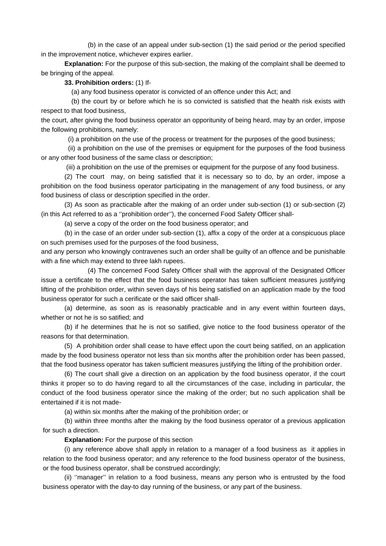(b) in the case of an appeal under sub-section (1) the said period or the period specified in the improvement notice, whichever expires earlier.

**Explanation:** For the purpose of this sub-section, the making of the complaint shall be deemed to be bringing of the appeal.

## **33. Prohibition orders:** (1) If-

(a) any food business operator is convicted of an offence under this Act; and

 (b) the court by or before which he is so convicted is satisfied that the health risk exists with respect to that food business,

the court, after giving the food business operator an opporitunity of being heard, may by an order, impose the following prohibitions, namely:

(i) a prohibition on the use of the process or treatment for the purposes of the good business;

 (ii) a prohibition on the use of the premises or equipment for the purposes of the food business or any other food business of the same class or description;

(iii) a prohibition on the use of the premises or equipment for the purpose of any food business.

(2) The court may, on being satisfied that it is necessary so to do, by an order, impose a prohibition on the food business operator participating in the management of any food business, or any food business of class or description specified in the order.

(3) As soon as practicable after the making of an order under sub-section (1) or sub-section (2) (in this Act referred to as a ''prohibition order''), the concerned Food Safety Officer shall-

(a) serve a copy of the order on the food business operator; and

(b) in the case of an order under sub-section (1), affix a copy of the order at a conspicuous place on such premises used for the purposes of the food business,

and any person who knowingly contravenes such an order shall be guilty of an offence and be punishable with a fine which may extend to three lakh rupees.

 (4) The concerned Food Safety Officer shall with the approval of the Designated Officer issue a certificate to the effect that the food business operator has taken sufficient measures justifying lifting of the prohibition order, within seven days of his being satisfied on an application made by the food business operator for such a cerificate or the said officer shall-

 (a) determine, as soon as is reasonably practicable and in any event within fourteen days, whether or not he is so satified; and

 (b) if he determines that he is not so satified, give notice to the food business operator of the reasons for that determination.

(5) A prohibition order shall cease to have effect upon the court being satified, on an application made by the food business operator not less than six months after the prohibition order has been passed, that the food business operator has taken sufficient measures justifying the lifting of the prohibition order.

(6) The court shall give a direction on an application by the food business operator, if the court thinks it proper so to do having regard to all the circumstances of the case, including in particular, the conduct of the food business operator since the making of the order; but no such application shall be entertained if it is not made-

(a) within six months after the making of the prohibition order; or

 (b) within three months after the making by the food business operator of a previous application for such a direction.

**Explanation:** For the purpose of this section

(i) any reference above shall apply in relation to a manager of a food business as it applies in relation to the food business operator; and any reference to the food business operator of the business, or the food business operator, shall be construed accordingly;

 (ii) ''manager'' in relation to a food business, means any person who is entrusted by the food business operator with the day-to day running of the business, or any part of the business.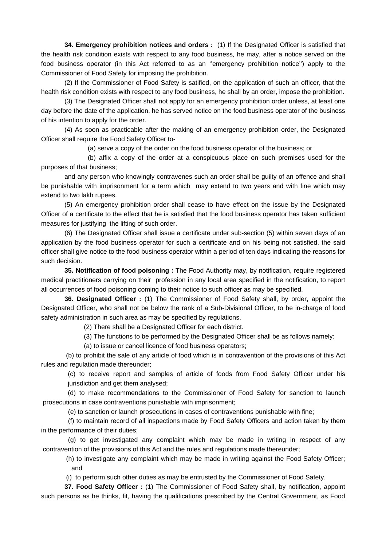**34. Emergency prohibition notices and orders :** (1) If the Designated Officer is satisfied that the health risk condition exists with respect to any food business, he may, after a notice served on the food business operator (in this Act referred to as an ''emergency prohibition notice'') apply to the Commissioner of Food Safety for imposing the prohibition.

(2) If the Commissioner of Food Safety is satified, on the application of such an officer, that the health risk condition exists with respect to any food business, he shall by an order, impose the prohibition.

(3) The Designated Officer shall not apply for an emergency prohibition order unless, at least one day before the date of the application, he has served notice on the food business operator of the business of his intention to apply for the order.

(4) As soon as practicable after the making of an emergency prohibition order, the Designated Officer shall require the Food Safety Officer to-

(a) serve a copy of the order on the food business operator of the business; or

 (b) affix a copy of the order at a conspicuous place on such premises used for the purposes of that business;

and any person who knowingly contravenes such an order shall be guilty of an offence and shall be punishable with imprisonment for a term which may extend to two years and with fine which may extend to two lakh rupees.

(5) An emergency prohibition order shall cease to have effect on the issue by the Designated Officer of a certificate to the effect that he is satisfied that the food business operator has taken sufficient measures for justifying the lifting of such order.

(6) The Designated Officer shall issue a certificate under sub-section (5) within seven days of an application by the food business operator for such a certificate and on his being not satisfied, the said officer shall give notice to the food business operator within a period of ten days indicating the reasons for such decision.

**35. Notification of food poisoning :** The Food Authority may, by notification, require registered medical practitioners carrying on their profession in any local area specified in the notification, to report all occurrences of food poisoning coming to their notice to such officer as may be specified.

**36. Designated Officer :** (1) The Commissioner of Food Safety shall, by order, appoint the Designated Officer, who shall not be below the rank of a Sub-Divisional Officer, to be in-charge of food safety administration in such area as may be specified by regulations.

(2) There shall be a Designated Officer for each district.

(3) The functions to be performed by the Designated Officer shall be as follows namely:

(a) to issue or cancel licence of food business operators;

 (b) to prohibit the sale of any article of food which is in contravention of the provisions of this Act rules and regulation made thereunder;

(c) to receive report and samples of article of foods from Food Safety Officer under his jurisdiction and get them analysed;

 (d) to make recommendations to the Commissioner of Food Safety for sanction to launch prosecutions in case contraventions punishable with imprisonment;

(e) to sanction or launch prosecutions in cases of contraventions punishable with fine;

 (f) to maintain record of all inspections made by Food Safety Officers and action taken by them in the performance of their duties;

 (g) to get investigated any complaint which may be made in writing in respect of any contravention of the provisions of this Act and the rules and regulations made thereunder;

 (h) to investigate any complaint which may be made in writing against the Food Safety Officer; and

(i) to perform such other duties as may be entrusted by the Commissioner of Food Safety.

**37. Food Safety Officer :** (1) The Commissioner of Food Safety shall, by notification, appoint such persons as he thinks, fit, having the qualifications prescribed by the Central Government, as Food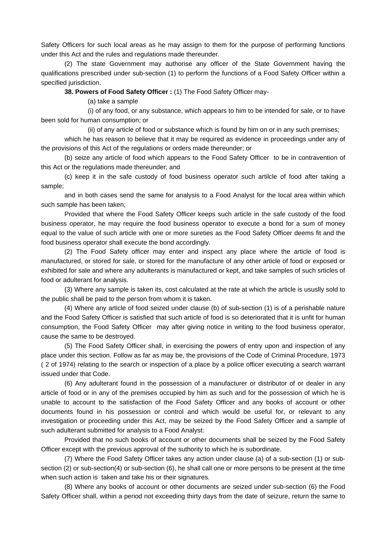Safety Officers for such local areas as he may assign to them for the purpose of performing functions under this Act and the rules and regulations made thereunder.

 (2) The state Government may authorise any officer of the State Government having the qualifications prescribed under sub-section (1) to perform the functions of a Food Safety Officer within a specified jurisdiction.

**38. Powers of Food Safety Officer :** (1) The Food Safety Officer may-

(a) take a sample

 (i) of any food, or any substance, which appears to him to be intended for sale, or to have been sold for human consumption; or

(ii) of any article of food or substance which is found by him on or in any such premises;

 which he has reason to believe that it may be required as evidence in proceedings under any of the provisions of this Act of the regulations or orders made thereunder; or

 (b) seize any article of food which appears to the Food Safety Officer to be in contravention of this Act or the regulations made thereunder; and

 (c) keep it in the safe custody of food business operator such artilcle of food after taking a sample;

 and in both cases send the same for analysis to a Food Analyst for the local area within which such sample has been taken;

 Provided that where the Food Safety Officer keeps such article in the safe custody of the food business operator, he may require the food business operator to execute a bond for a sum of money equal to the value of such article with one or more sureties as the Food Safety Officer deems fit and the food business operator shall execute the bond accordingly.

 (2) The Food Safety officer may enter and inspect any place where the article of food is manufactured, or stored for sale, or stored for the manufacture of any other article of food or exposed or exhibited for sale and where any adulterants is manufactured or kept, and take samples of such srticles of food or adulterant for analysis.

 (3) Where any sample is taken its, cost calculated at the rate at which the article is ususlly sold to the public shall be paid to the person from whom it is taken.

 (4) Where any article of food seized under clause (b) of sub-section (1) is of a perishable nature and the Food Safety Officer is satisfied that such article of food is so deteriorated that it is unfit for human consumption, the Food Safety Officer may after giving notice in writing to the food business operator, cause the same to be destroyed.

 (5) The Food Safety Officer shall, in exercising the powers of entry upon and inspection of any place under this section. Follow as far as may be, the provisions of the Code of Criminal Procedure, 1973 ( 2 of 1974) relating to the search or inspection of a place by a police officer executing a search warrant issued under that Code.

 (6) Any adulterant found in the possession of a manufacturer or distributor of or dealer in any article of food or in any of the premises occupied by him as such and for the possession of which he is unable to account to the satisfaction of the Food Safety Officer and any books of account or other documents found in his possession or control and which would be useful for, or relevant to any investigation or proceeding under this Act, may be seized by the Food Safety Officer and a sample of such adulterant submitted for analysis to a Food Analyst:

 Provided that no such books of account or other documents shall be seized by the Food Safety Officer except with the previous approval of the suthority to which he is subordinate.

 (7) Where the Food Safety Officer takes any action under clause (a) of a sub-section (1) or subsection (2) or sub-section(4) or sub-section (6), he shall call one or more persons to be present at the time when such action is taken and take his or their signatures.

 (8) Where any books of account or other documents are seized under sub-section (6) the Food Safety Officer shall, within a period not exceeding thirty days from the date of seizure, return the same to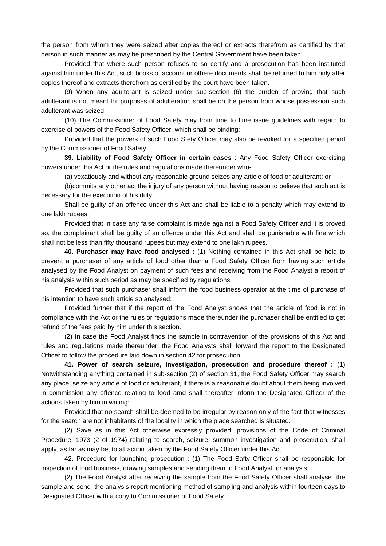the person from whom they were seized after copies thereof or extracts therefrom as certified by that person in such manner as may be prescribed by the Central Government have been taken:

 Provided that where such person refuses to so certify and a prosecution has been instituted against him under this Act, such books of account or othere documents shall be returned to him only after copies thereof and extracts therefrom as certified by the court have been taken.

 (9) When any adulterant is seized under sub-section (6) the burden of proving that such adulterant is not meant for purposes of adulteration shall be on the person from whose possession such adulterant was seized.

 (10) The Commissioner of Food Safety may from time to time issue guidelines with regard to exercise of powers of the Food Safety Officer, which shall be binding:

 Provided that the powers of such Food Sfety Officer may also be revoked for a specified period by the Commissioner of Food Safety.

**39. Liability of Food Safety Officer in certain cases** : Any Food Safety Officer exercising powers under this Act or the rules and regulations made thereunder who-

(a) vexatiously and without any reasonable ground seizes any article of food or adulterant; or

 (b)commits any other act the injury of any person without having reason to believe that such act is necessary for the execution of his duty.

 Shall be guilty of an offence under this Act and shall be liable to a penalty which may extend to one lakh rupees:

 Provided that in case any false complaint is made against a Food Safety Officer and it is proved so, the complainant shall be guilty of an offence under this Act and shall be punishable with fine which shall not be less than fifty thousand rupees but may extend to one lakh rupees.

**40. Purchaser may have food analysed :** (1) Nothing contained in this Act shall be held to prevent a purchaser of any article of food other than a Food Safety Officer from having such article analysed by the Food Analyst on payment of such fees and receiving from the Food Analyst a report of his analysis within such period as may be specified by regulations:

 Provided that such purchaser shall inform the food business operator at the time of purchase of his intention to have such article so analysed:

 Provided further that if the report of the Food Analyst shows that the article of food is not in compliance with the Act or the rules or regulations made thereunder the purchaser shall be entitled to get refund of the fees paid by him under this section.

 (2) In case the Food Analyst finds the sample in contravention of the provisions of this Act and rules and regulations made thereunder, the Food Analysts shall forward the report to the Designated Officer to follow the procedure laid down in section 42 for prosecution.

**41. Power of search seizure, investigation, prosecution and procedure thereof :** (1) Notwithstanding anything contained in sub-section (2) of section 31, the Food Safety Officer may search any place, seize any article of food or adulterant, if there is a reasonable doubt about them being involved in commission any offence relating to food amd shall thereafter inform the Designated Officer of the actions taken by him in writing:

 Provided that no search shall be deemed to be irregular by reason only of the fact that witnesses for the search are not inhabitants of the locality in which the place searched is situated.

 (2) Save as in this Act otherwise expressly provided, provisions of the Code of Criminal Procedure, 1973 (2 of 1974) relating to search, seizure, summon investigation and prosecution, shall apply, as far as may be, to all action taken by the Food Safety Officer under this Act.

 42. Procedure for launching prosecution : (1) The Food Safty Officer shall be responsible for inspection of food business, drawing samples and sending them to Food Analyst for analysis.

 (2) The Food Analyst after receiving the sample from the Food Safety Officer shall analyse the sample and send the analysis report mentioning method of sampling and analysis within fourteen days to Designated Officer with a copy to Commissioner of Food Safety.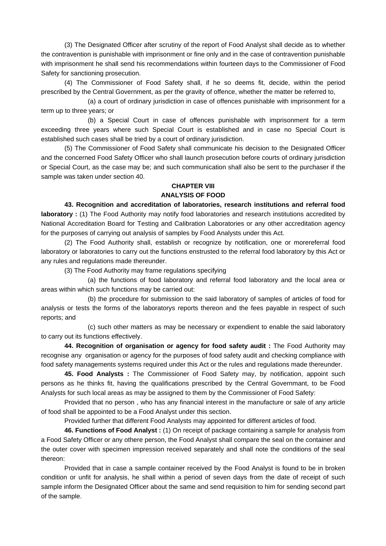(3) The Designated Officer after scrutiny of the report of Food Analyst shall decide as to whether the contravention is punishable with imprisonment or fine only and in the case of contravention punishable with imprisonment he shall send his recommendations within fourteen days to the Commissioner of Food Safety for sanctioning prosecution.

 (4) The Commissioner of Food Safety shall, if he so deems fit, decide, within the period prescribed by the Central Government, as per the gravity of offence, whether the matter be referred to,

 (a) a court of ordinary jurisdiction in case of offences punishable with imprisonment for a term up to three years; or

 (b) a Special Court in case of offences punishable with imprisonment for a term exceeding three years where such Special Court is established and in case no Special Court is established such cases shall be tried by a court of ordinary jurisdiction.

 (5) The Commissioner of Food Safety shall communicate his decision to the Designated Officer and the concerned Food Safety Officer who shall launch prosecution before courts of ordinary jurisdiction or Special Court, as the case may be; and such communication shall also be sent to the purchaser if the sample was taken under section 40.

# **CHAPTER VIII**

# **ANALYSIS OF FOOD**

 **43. Recognition and accreditation of laboratories, research institutions and referral food laboratory :** (1) The Food Authority may notify food laboratories and research institutions accredited by National Accreditation Board for Testing and Calibration Laboratories or any other accreditation agency for the purposes of carrying out analysis of samples by Food Analysts under this Act.

 (2) The Food Authority shall, establish or recognize by notification, one or morereferral food laboratory or laboratories to carry out the functions enstrusted to the referral food laboratory by this Act or any rules and regulations made thereunder.

(3) The Food Authority may frame regulations specifying

 (a) the functions of food laboratory and referral food laboratory and the local area or areas within which such functions may be carried out:

 (b) the procedure for submission to the said laboratory of samples of articles of food for analysis or tests the forms of the laboratorys reports thereon and the fees payable in respect of such reports; and

 (c) such other matters as may be necessary or expendient to enable the said laboratory to carry out its functions effectively.

**44. Recognition of organisation or agency for food safety audit :** The Food Authority may recognise any organisation or agency for the purposes of food safety audit and checking compliance with food safety managements systems required under this Act or the rules and regulations made thereunder.

**45. Food Analysts :** The Commissioner of Food Safety may, by notification, appoint such persons as he thinks fit, having the qualifications prescribed by the Central Governmant, to be Food Analysts for such local areas as may be assigned to them by the Commissioner of Food Safety:

 Provided that no person , who has any financial interest in the manufacture or sale of any article of food shall be appointed to be a Food Analyst under this section.

Provided further that different Food Analysts may appointed for different articles of food.

**46. Functions of Food Analyst :** (1) On receipt of package containing a sample for analysis from a Food Safety Officer or any othere person, the Food Analyst shall compare the seal on the container and the outer cover with specimen impression received separately and shall note the conditions of the seal thereon:

 Provided that in case a sample container received by the Food Analyst is found to be in broken condition or unfit for analysis, he shall within a period of seven days from the date of receipt of such sample inform the Designated Officer about the same and send requisition to him for sending second part of the sample.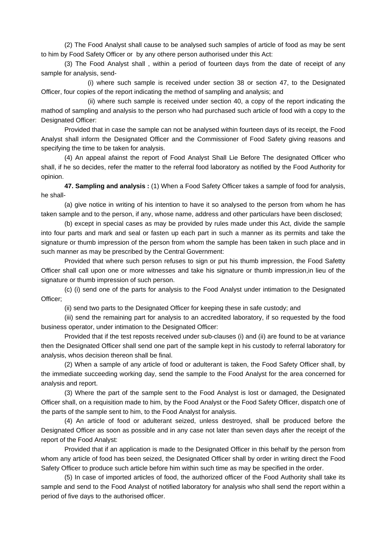(2) The Food Analyst shall cause to be analysed such samples of article of food as may be sent to him by Food Safety Officer or by any othere person authorised under this Act:

 (3) The Food Analyst shall , within a period of fourteen days from the date of receipt of any sample for analysis, send-

 (i) where such sample is received under section 38 or section 47, to the Designated Officer, four copies of the report indicating the method of sampling and analysis; and

 (ii) where such sample is received under section 40, a copy of the report indicating the mathod of sampling and analysis to the person who had purchased such article of food with a copy to the Designated Officer:

 Provided that in case the sample can not be analysed within fourteen days of its receipt, the Food Analyst shall inform the Designated Officer and the Commissioner of Food Safety giving reasons and specifying the time to be taken for analysis.

 (4) An appeal afainst the report of Food Analyst Shall Lie Before The designated Officer who shall, if he so decides, refer the matter to the referral food laboratory as notified by the Food Authority for opinion.

**47. Sampling and analysis :** (1) When a Food Safety Officer takes a sample of food for analysis, he shall-

 (a) give notice in writing of his intention to have it so analysed to the person from whom he has taken sample and to the person, if any, whose name, address and other particulars have been disclosed;

 (b) except in special cases as may be provided by rules made under this Act, divide the sample into four parts and mark and seal or fasten up each part in such a manner as its permits and take the signature or thumb impression of the person from whom the sample has been taken in such place and in such manner as may be prescribed by the Central Government:

 Provided that where such person refuses to sign or put his thumb impression, the Food Safetty Officer shall call upon one or more witnesses and take his signature or thumb impression,in lieu of the signature or thumb impression of such person.

 (c) (i) send one of the parts for analysis to the Food Analyst under intimation to the Designated Officer;

(ii) send two parts to the Designated Officer for keeping these in safe custody; and

 (iii) send the remaining part for analysis to an accredited laboratory, if so requested by the food business operator, under intimation to the Designated Officer:

 Provided that if the test reposts received under sub-clauses (i) and (ii) are found to be at variance then the Designated Officer shall send one part of the sample kept in his custody to referral laboratory for analysis, whos decision thereon shall be final.

 (2) When a sample of any article of food or adulterant is taken, the Food Safety Officer shall, by the immediate succeeding working day, send the sample to the Food Analyst for the area concerned for analysis and report.

 (3) Where the part of the sample sent to the Food Analyst is lost or damaged, the Designated Officer shall, on a requisition made to him, by the Food Analyst or the Food Safety Officer, dispatch one of the parts of the sample sent to him, to the Food Analyst for analysis.

 (4) An article of food or adulterant seized, unless destroyed, shall be produced before the Designated Officer as soon as possible and in any case not later than seven days after the receipt of the report of the Food Analyst:

 Provided that if an application is made to the Designated Officer in this behalf by the person from whom any article of food has been seized, the Designated Officer shall by order in writing direct the Food Safety Officer to produce such article before him within such time as may be specified in the order.

 (5) In case of imported articles of food, the authorized officer of the Food Authority shall take its sample and send to the Food Analyst of notified laboratory for analysis who shall send the report within a period of five days to the authorised officer.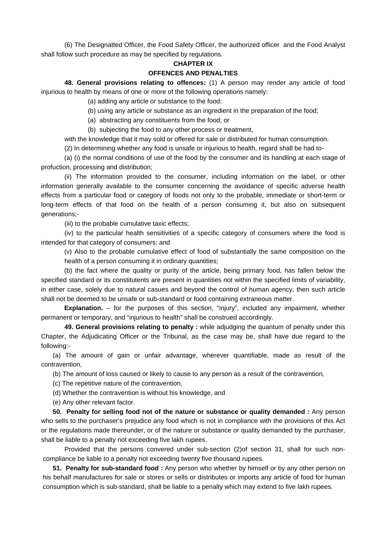(6) The Designatted Officer, the Food Safety Officer, the authorized officer and the Food Analyst shall follow such procedure as may be specified by regulations.

# **CHAPTER IX**

# **OFFENCES AND PENALTIES**

 **48. General provisions relating to offences:** (1) A person may render any article of food injurious to health by means of one or more of the following operations namely:

(a) adding any article or substance to the food;

(b) using any article or substance as an ingredient in the preparation of the food;

(a) abstracting any constituents from the food; or

(b) subjecting the food to any other process or treatment,

with the knowledge that it may sold or offered for sale or distributed for human consumption.

(2) In determining whether any food is unsafe or injurious to health, regard shall be had to-

 (a) (i) the normal conditions of use of the food by the consumer and its handling at each stage of profuction, processing and distribution;

(ii) The information provided to the consumer, including information on the label, or other information generally available to the consumer concerning the avoidance of specific adverse health effects from a particular food or category of foods not only to the probable, immediate or short-term or long-term effects of that food on the health of a person consuming it, but also on subsequent generations;-

(iii) to the probable cumulative taxic effects;

(iv) to the particular health sensitivities of a specific category of consumers where the food is intended for that category of consumers; and

(v) Also to the probable cumulative effect of food of substantially the same composition on the health of a person consuming it in ordinary quantities;

(b) the fact where the quality or purity of the article, being primary food, has fallen below the specified standard or its constitutents are present in quantities not within the specified limits of variability, in either case, solely due to natural casues and beyond the control of human agency, then such article shall not be deemed to be unsafe or sub-standard or food containing extraneous matter.

**Explanation.** – for the purposes of this section, "injury", included any impairment, whether permanent or temporary, and "injurious to health" shall be construed accordingly.

**49. General provisions relating to penalty :** while adjudging the quantum of penalty under this Chapter, the Adjudicating Officer or the Tribunal, as the case may be, shall have due regard to the following:-

(a) The amount of gain or unfair advantage, wherever quantifiable, made as result of the contravention,

(b) The amount of loss caused or likely to cause to any person as a result of the contravention,

(c) The repetitive nature of the contravention,

(d) Whether the contravention is without his knowledge, and

(e) Any other relevant factor.

**50. Penalty for selling food not of the nature or substance or quality demanded :** Any person who sells to the purchaser's prejudice any food which is not in compliance with the provisions of this Act or the regulations made thereunder, or of the nature or substance or quality demanded by the purchaser, shall be liable to a penalty not exceeding five lakh rupees.

 Provided that the persons convered under sub-section (2)of section 31, shall for such noncompliance be liable to a penalty not exceeding twenty five thousand rupees.

**51. Penalty for sub-standard food :** Any person who whether by himself or by any other person on his behalf manufactures for sale or stores or sells or distributes or imports any article of food for human consumption which is sub-standard, shall be liable to a penalty which may extend to five lakh rupees.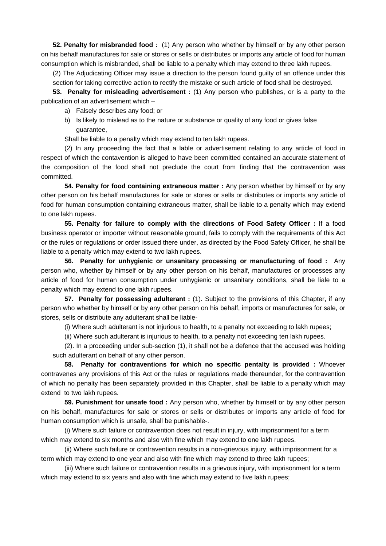**52. Penalty for misbranded food :** (1) Any person who whether by himself or by any other person on his behalf manufactures for sale or stores or sells or distributes or imports any article of food for human consumption which is misbranded, shall be liable to a penalty which may extend to three lakh rupees.

(2) The Adjudicating Officer may issue a direction to the person found guilty of an offence under this section for taking corrective action to rectify the mistake or such article of food shall be destroyed.

**53. Penalty for misleading advertisement :** (1) Any person who publishes, or is a party to the publication of an advertisement which –

- a) Falsely describes any food; or
- b) Is likely to mislead as to the nature or substance or quality of any food or gives false guarantee,

Shall be liable to a penalty which may extend to ten lakh rupees.

 (2) In any proceeding the fact that a lable or advertisement relating to any article of food in respect of which the contavention is alleged to have been committed contained an accurate statement of the composition of the food shall not preclude the court from finding that the contravention was committed.

**54. Penalty for food containing extraneous matter :** Any person whether by himself or by any other person on his behalf manufactures for sale or stores or sells or distributes or imports any article of food for human consumption containing extraneous matter, shall be liable to a penalty which may extend to one lakh rupees.

**55. Penalty for failure to comply with the directions of Food Safety Officer :** If a food business operator or importer without reasonable ground, fails to comply with the requirements of this Act or the rules or regulations or order issued there under, as directed by the Food Safety Officer, he shall be liable to a penalty which may extend to two lakh rupees.

**56. Penalty for unhygienic or unsanitary processing or manufacturing of food :** Any person who, whether by himself or by any other person on his behalf, manufactures or processes any article of food for human consumption under unhygienic or unsanitary conditions, shall be liale to a penalty which may extend to one lakh rupees.

**57. Penalty for possessing adulterant :** (1). Subject to the provisions of this Chapter, if any person who whether by himself or by any other person on his behalf, imports or manufactures for sale, or stores, sells or distribute any adulterant shall be liable-

(i) Where such adulterant is not injurious to health, to a penalty not exceeding to lakh rupees;

(ii) Where such adulterant is injurious to health, to a penalty not exceeding ten lakh rupees.

(2). In a proceeding under sub-section (1), it shall not be a defence that the accused was holding such adulterant on behalf of any other person.

**58. Penalty for contraventions for which no specific pentalty is provided :** Whoever contravenes any provisions of this Act or the rules or regulations made thereunder, for the contravention of which no penalty has been separately provided in this Chapter, shall be liable to a penalty which may extend to two lakh rupees.

**59. Punishment for unsafe food :** Any person who, whether by himself or by any other person on his behalf, manufactures for sale or stores or sells or distributes or imports any article of food for human consumption which is unsafe, shall be punishable-.

(i) Where such failure or contravention does not result in injury, with imprisonment for a term which may extend to six months and also with fine which may extend to one lakh rupees.

(ii) Where such failure or contravention results in a non-grievous injury, with imprisonment for a term which may extend to one year and also with fine which may extend to three lakh rupees;

(iii) Where such failure or contravention results in a grievous injury, with imprisonment for a term which may extend to six years and also with fine which may extend to five lakh rupees;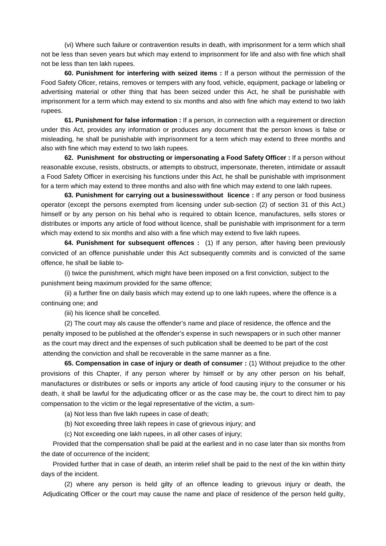(vi) Where such failure or contravention results in death, with imprisonment for a term which shall not be less than seven years but which may extend to imprisonment for life and also with fine which shall not be less than ten lakh rupees.

**60. Punishment for interfering with seized items :** If a person without the permission of the Food Safety Oficer, retains, removes or tempers with any food, vehicle, equipment, package or labeling or advertising material or other thing that has been seized under this Act, he shall be punishable with imprisonment for a term which may extend to six months and also with fine which may extend to two lakh rupees.

**61. Punishment for false information :** If a person, in connection with a requirement or direction under this Act, provides any information or produces any document that the person knows is false or misleading, he shall be punishable with imprisonment for a term which may extend to three months and also with fine which may extend to two lakh rupees.

**62. Punishment for obstructing or impersonating a Food Safety Officer :** If a person without reasonable excuse, resists, obstructs, or attempts to obstruct, impersonate, thereten, intimidate or assault a Food Safety Officer in exercising his functions under this Act, he shall be punishable with imprisonment for a term which may extend to three months and also with fine which may extend to one lakh rupees.

**63. Punishment for carrying out a businesswithout licence :** If any person or food business operator (except the persons exempted from licensing under sub-section (2) of section 31 of this Act,) himself or by any person on his behal who is required to obtain licence, manufactures, sells stores or distributes or imports any article of food without licence, shall be punishable with imprisonment for a term which may extend to six months and also with a fine which may extend to five lakh rupees.

**64. Punishment for subsequent offences :** (1) If any person, after having been previously convicted of an offence punishable under this Act subsequently commits and is convicted of the same offence, he shall be liable to-

(i) twice the punishment, which might have been imposed on a first conviction, subject to the punishment being maximum provided for the same offence;

(ii) a further fine on daily basis which may extend up to one lakh rupees, where the offence is a continuing one; and

(iii) his licence shall be concelled.

(2) The court may als cause the offender's name and place of residence, the offence and the penalty imposed to be published at the offender's expense in such newspapers or in such other manner as the court may direct and the expenses of such publication shall be deemed to be part of the cost attending the conviction and shall be recoverable in the same manner as a fine.

**65. Compensation in case of injury or death of consumer :** (1) Without prejudice to the other provisions of this Chapter, if any person wherer by himself or by any other person on his behalf, manufactures or distributes or sells or imports any article of food causing injury to the consumer or his death, it shall be lawful for the adjudicating officer or as the case may be, the court to direct him to pay compensation to the victim or the legal representative of the victim, a sum-

(a) Not less than five lakh rupees in case of death;

(b) Not exceeding three lakh repees in case of grievous injury; and

(c) Not exceeding one lakh rupees, in all other cases of injury;

Provided that the compensation shall be paid at the earliest and in no case later than six months from the date of occurrence of the incident;

Provided further that in case of death, an interim relief shall be paid to the next of the kin within thirty days of the incident.

(2) where any person is held gilty of an offence leading to grievous injury or death, the Adjudicating Officer or the court may cause the name and place of residence of the person held guilty,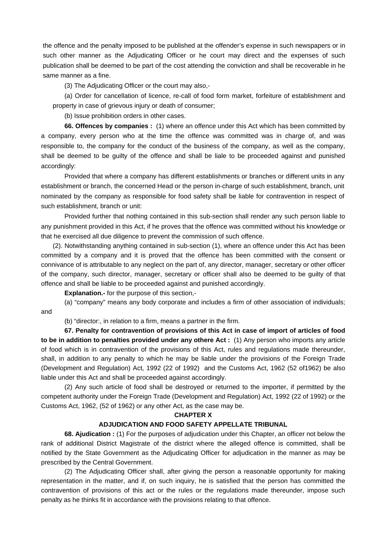the offence and the penalty imposed to be published at the offender's expense in such newspapers or in such other manner as the Adjudicating Officer or he court may direct and the expenses of such publication shall be deemed to be part of the cost attending the conviction and shall be recoverable in he same manner as a fine.

(3) The Adjudicating Officer or the court may also,-

(a) Order for cancellation of licence, re-call of food form market, forfeiture of establishment and property in case of grievous injury or death of consumer;

(b) Issue prohibition orders in other cases.

**66. Offences by companies :** (1) where an offence under this Act which has been committed by a company, every person who at the time the offence was committed was in charge of, and was responsible to, the company for the conduct of the business of the company, as well as the company, shall be deemed to be guilty of the offence and shall be liale to be proceeded against and punished accordingly:

 Provided that where a company has different establishments or branches or different units in any establishment or branch, the concerned Head or the person in-charge of such establishment, branch, unit nominated by the company as responsible for food safety shall be liable for contravention in respect of such establishment, branch or unit:

 Provided further that nothing contained in this sub-section shall render any such person liable to any punishment provided in this Act, if he proves that the offence was committed without his knowledge or that he exercised all due diligence to prevent the commission of such offence.

(2). Notwithstanding anything contained in sub-section (1), where an offence under this Act has been committed by a company and it is proved that the offence has been committed with the consent or connivance of is attributable to any neglect on the part of, any director, manager, secretary or other officer of the company, such director, manager, secretary or officer shall also be deemed to be guilty of that offence and shall be liable to be proceeded against and punished accordingly.

**Explanation.-** for the purpose of this section,-

(a) "company" means any body corporate and includes a firm of other association of individuals; and

(b) "director:, in relation to a firm, means a partner in the firm.

**67. Penalty for contravention of provisions of this Act in case of import of articles of food to be in addition to penalties provided under any othere Act :** (1) Any person who imports any article of food which is in contravention of the provisions of this Act, rules and regulations made thereunder, shall, in addition to any penalty to which he may be liable under the provisions of the Foreign Trade (Development and Regulation) Act, 1992 (22 of 1992) and the Customs Act, 1962 (52 of1962) be also liable under this Act and shall be proceeded against accordingly.

(2) Any such article of food shall be destroyed or returned to the importer, if permitted by the competent authority under the Foreign Trade (Development and Regulation) Act, 1992 (22 of 1992) or the Customs Act, 1962, (52 of 1962) or any other Act, as the case may be.

#### **CHAPTER X**

# **ADJUDICATION AND FOOD SAFETY APPELLATE TRIBUNAL**

**68. Ajudication :** (1) For the purposes of adjudication under this Chapter, an officer not below the rank of additional District Magistrate of the district where the alleged offence is committed, shall be notified by the State Government as the Adjudicating Officer for adjudication in the manner as may be prescribed by the Central Government.

(2) The Adjudicating Officer shall, after giving the person a reasonable opportunity for making representation in the matter, and if, on such inquiry, he is satisfied that the person has committed the contravention of provisions of this act or the rules or the regulations made thereunder, impose such penalty as he thinks fit in accordance with the provisions relating to that offence.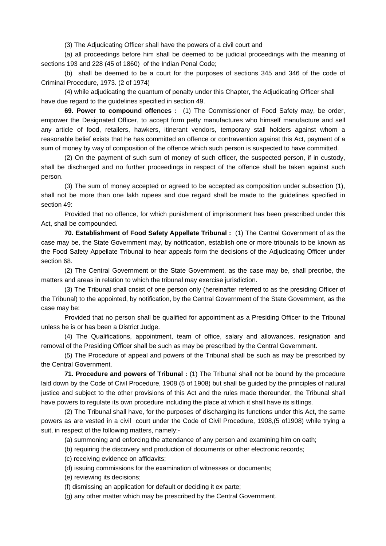(3) The Adjudicating Officer shall have the powers of a civil court and

(a) all proceedings before him shall be deemed to be judicial proceedings with the meaning of sections 193 and 228 (45 of 1860) of the Indian Penal Code;

(b) shall be deemed to be a court for the purposes of sections 345 and 346 of the code of Criminal Procedure, 1973. (2 of 1974)

(4) while adjudicating the quantum of penalty under this Chapter, the Adjudicating Officer shall have due regard to the guidelines specified in section 49.

**69. Power to compound offences :** (1) The Commissioner of Food Safety may, be order, empower the Designated Officer, to accept form petty manufactures who himself manufacture and sell any article of food, retailers, hawkers, itinerant vendors, temporary stall holders against whom a reasonable belief exists that he has committed an offence or contravention against this Act, payment of a sum of money by way of composition of the offence which such person is suspected to have committed.

(2) On the payment of such sum of money of such officer, the suspected person, if in custody, shall be discharged and no further proceedings in respect of the offence shall be taken against such person.

(3) The sum of money accepted or agreed to be accepted as composition under subsection (1), shall not be more than one lakh rupees and due regard shall be made to the guidelines specified in section 49:

Provided that no offence, for which punishment of imprisonment has been prescribed under this Act, shall be compounded.

**70. Establishment of Food Safety Appellate Tribunal :** (1) The Central Government of as the case may be, the State Government may, by notification, establish one or more tribunals to be known as the Food Safety Appellate Tribunal to hear appeals form the decisions of the Adjudicating Officer under section 68.

(2) The Central Government or the State Government, as the case may be, shall precribe, the matters and areas in relation to which the tribunal may exercise jurisdiction.

 (3) The Tribunal shall cnsist of one person only (hereinafter referred to as the presiding Officer of the Tribunal) to the appointed, by notification, by the Central Government of the State Government, as the case may be:

 Provided that no person shall be qualified for appointment as a Presiding Officer to the Tribunal unless he is or has been a District Judge.

(4) The Qualifications, appointment, team of office, salary and allowances, resignation and removal of the Presiding Officer shall be such as may be prescribed by the Central Government.

(5) The Procedure of appeal and powers of the Tribunal shall be such as may be prescribed by the Central Government.

**71. Procedure and powers of Tribunal :** (1) The Tribunal shall not be bound by the procedure laid down by the Code of Civil Procedure, 1908 (5 of 1908) but shall be guided by the principles of natural justice and subject to the other provisions of this Act and the rules made thereunder, the Tribunal shall have powers to regulate its own procedure including the place at which it shall have its sittings.

(2) The Tribunal shall have, for the purposes of discharging its functions under this Act, the same powers as are vested in a civil court under the Code of Civil Procedure, 1908,(5 of1908) while trying a suit, in respect of the following matters, namely:-

(a) summoning and enforcing the attendance of any person and examining him on oath;

(b) requiring the discovery and production of documents or other electronic records;

- (c) receiving evidence on affidavits;
- (d) issuing commissions for the examination of witnesses or documents;
- (e) reviewing its decisions;

(f) dismissing an application for default or deciding it ex parte;

(g) any other matter which may be prescribed by the Central Government.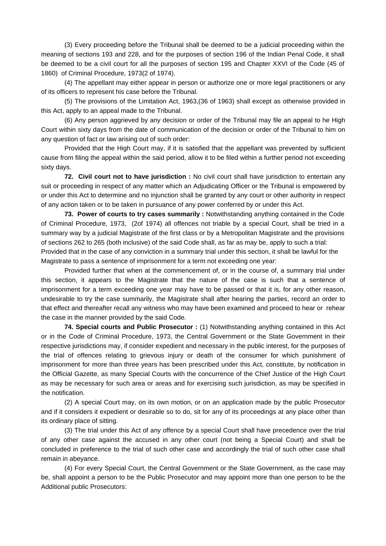(3) Every proceeding before the Tribunal shall be deemed to be a judicial proceeding within the meaning of sections 193 and 228, and for the purposes of section 196 of the Indian Penal Code, it shall be deemed to be a civil court for all the purposes of section 195 and Chapter XXVI of the Code (45 of 1860) of Criminal Procedure, 1973(2 of 1974).

(4) The appellant may either appear in person or authorize one or more legal practitioners or any of its officers to represent his case before the Tribunal.

(5) The provisions of the Limitation Act, 1963,(36 of 1963) shall except as otherwise provided in this Act, apply to an appeal made to the Tribunal.

(6) Any person aggrieved by any decision or order of the Tribunal may file an appeal to he High Court within sixty days from the date of communication of the decision or order of the Tribunal to him on any question of fact or law arising out of such order:

 Provided that the High Court may, if it is satisfied that the appellant was prevented by sufficient cause from filing the appeal within the said period, allow it to be filed within a further period not exceeding sixty days.

**72. Civil court not to have jurisdiction :** No civil court shall have jurisdiction to entertain any suit or proceeding in respect of any matter which an Adjudicating Officer or the Tribunal is empowered by or under this Act to determine and no injunction shall be granted by any court or other authority in respect of any action taken or to be taken in pursuance of any power conferred by or under this Act.

**73. Power of courts to try cases summarily :** Notwithstanding anything contained in the Code of Criminal Procedure, 1973, (2of 1974) all offences not triable by a special Court, shall be tried in a summary way by a judicial Magistrate of the first class or by a Metropolitan Magistrate and the provisions of sections 262 to 265 (both inclusive) of the said Code shall, as far as may be, apply to such a trial: Provided that in the case of any conviction in a summary trial under this section, it shall be lawful for the Magistrate to pass a sentence of imprisonment for a term not exceeding one year:

Provided further that when at the commencement of, or in the course of, a summary trial under this section, it appears to the Magistrate that the nature of the case is such that a sentence of imprisonment for a term exceeding one year may have to be passed or that it is, for any other reason, undesirable to try the case summarily, the Magistrate shall after hearing the parties, record an order to that effect and thereafter recall any witness who may have been examined and proceed to hear or rehear the case in the manner provided by the said Code.

**74. Special courts and Public Prosecutor :** (1) Notwithstanding anything contained in this Act or in the Code of Criminal Procedure, 1973, the Central Government or the State Government in their respective jurisdictions may, if consider expedient and necessary in the public interest, for the purposes of the trial of offences relating to grievous injury or death of the consumer for which punishment of imprisonment for more than three years has been prescribed under this Act, constitute, by notification in the Official Gazette, as many Special Courts with the concurrence of the Chief Justice of the High Court as may be necessary for such area or areas and for exercising such jurisdiction, as may be specified in the notification.

(2) A special Court may, on its own motion, or on an application made by the public Prosecutor and if it considers it expedient or desirable so to do, sit for any of its proceedings at any place other than its ordinary place of sitting.

(3) The trial under this Act of any offence by a special Court shall have precedence over the trial of any other case against the accused in any other court (not being a Special Court) and shall be concluded in preference to the trial of such other case and accordingly the trial of such other case shall remain in abeyance.

(4) For every Special Court, the Central Government or the State Government, as the case may be, shall appoint a person to be the Public Prosecutor and may appoint more than one person to be the Additional public Prosecutors: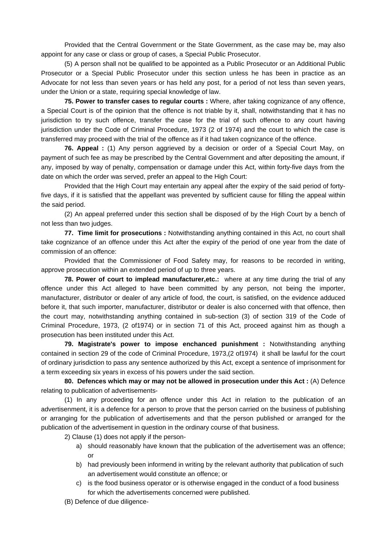Provided that the Central Government or the State Government, as the case may be, may also appoint for any case or class or group of cases, a Special Public Prosecutor.

(5) A person shall not be qualified to be appointed as a Public Prosecutor or an Additional Public Prosecutor or a Special Public Prosecutor under this section unless he has been in practice as an Advocate for not less than seven years or has held any post, for a period of not less than seven years, under the Union or a state, requiring special knowledge of law.

**75. Power to transfer cases to regular courts :** Where, after taking cognizance of any offence, a Special Court is of the opinion that the offence is not triable by it, shall, notwithstanding that it has no jurisdiction to try such offence, transfer the case for the trial of such offence to any court having jurisdiction under the Code of Criminal Procedure, 1973 (2 of 1974) and the court to which the case is transferred may proceed with the trial of the offence as if it had taken cognizance of the offence.

**76. Appeal :** (1) Any person aggrieved by a decision or order of a Special Court May, on payment of such fee as may be prescribed by the Central Government and after depositing the amount, if any, imposed by way of penalty, compensation or damage under this Act, within forty-five days from the date on which the order was served, prefer an appeal to the High Court:

 Provided that the High Court may entertain any appeal after the expiry of the said period of fortyfive days, if it is satisfied that the appellant was prevented by sufficient cause for filling the appeal within the said period.

(2) An appeal preferred under this section shall be disposed of by the High Court by a bench of not less than two judges.

**77. Time limit for prosecutions :** Notwithstanding anything contained in this Act, no court shall take cognizance of an offence under this Act after the expiry of the period of one year from the date of commission of an offence:

 Provided that the Commissioner of Food Safety may, for reasons to be recorded in writing, approve prosecution within an extended period of up to three years.

**78. Power of court to implead manufacturer,etc.:** where at any time during the trial of any offence under this Act alleged to have been committed by any person, not being the importer, manufacturer, distributor or dealer of any article of food, the court, is satisfied, on the evidence adduced before it, that such importer, manufacturer, distributor or dealer is also concerned with that offence, then the court may, notwithstanding anything contained in sub-section (3) of section 319 of the Code of Criminal Procedure, 1973, (2 of1974) or in section 71 of this Act, proceed against him as though a prosecution has been instituted under this Act.

**79. Magistrate's power to impose enchanced punishment :** Notwithstanding anything contained in section 29 of the code of Criminal Procedure, 1973,(2 of1974) it shall be lawful for the court of ordinary jurisdiction to pass any sentence authorized by this Act, except a sentence of imprisonment for a term exceeding six years in excess of his powers under the said section.

**80. Defences which may or may not be allowed in prosecution under this Act :** (A) Defence relating to publication of advertisements-

(1) In any proceeding for an offence under this Act in relation to the publication of an advertisenment, it is a defence for a person to prove that the person carried on the business of publishing or arranging for the publication of advertisements and that the person published or arranged for the publication of the advertisement in question in the ordinary course of that business.

2) Clause (1) does not apply if the person-

- a) should reasonably have known that the publication of the advertisement was an offence; or
- b) had previously been informend in writing by the relevant authority that publication of such an advertisement would constitute an offence; or
- c) is the food business operator or is otherwise engaged in the conduct of a food business for which the advertisements concerned were published.
- (B) Defence of due diligence-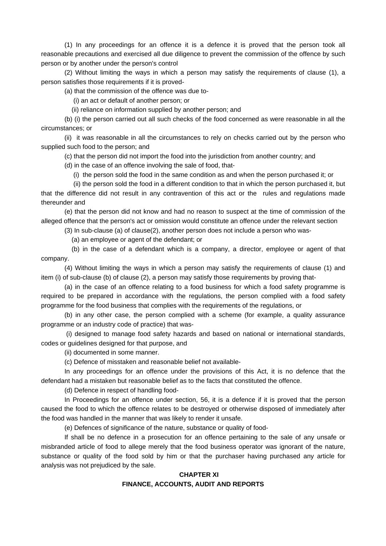(1) In any proceedings for an offence it is a defence it is proved that the person took all reasonable precautions and exercised all due diligence to prevent the commission of the offence by such person or by another under the person's control

 (2) Without limiting the ways in which a person may satisfy the requirements of clause (1), a person satisfies those requirements if it is proved-

(a) that the commission of the offence was due to-

(i) an act or default of another person; or

(ii) reliance on information supplied by another person; and

 (b) (i) the person carried out all such checks of the food concerned as were reasonable in all the circumstances; or

 (ii) it was reasonable in all the circumstances to rely on checks carried out by the person who supplied such food to the person; and

(c) that the person did not import the food into the jurisdiction from another country; and

(d) in the case of an offence involving the sale of food, that-

(i) the person sold the food in the same condition as and when the person purchased it; or

 (ii) the person sold the food in a different condition to that in which the person purchased it, but that the difference did not result in any contravention of this act or the rules and regulations made thereunder and

 (e) that the person did not know and had no reason to suspect at the time of commission of the alleged offence that the person's act or omission would constitute an offence under the relevant section

(3) In sub-clause (a) of clause(2), another person does not include a person who was-

(a) an employee or agent of the defendant; or

 (b) in the case of a defendant which is a company, a director, employee or agent of that company.

 (4) Without limiting the ways in which a person may satisfy the requirements of clause (1) and item (i) of sub-clause (b) of clause (2), a person may satisfy those requirements by proving that-

 (a) in the case of an offence relating to a food business for which a food safety programme is required to be prepared in accordance with the regulations, the person complied with a food safety programme for the food business that complies with the requirements of the regulations, or

 (b) in any other case, the person complied with a scheme (for example, a quality assurance programme or an industry code of practice) that was-

 (i) designed to manage food safety hazards and based on national or international standards, codes or guidelines designed for that purpose, and

(ii) documented in some manner.

(c) Defence of misstaken and reasonable belief not available-

 In any proceedings for an offence under the provisions of this Act, it is no defence that the defendant had a mistaken but reasonable belief as to the facts that constituted the offence.

(d) Defence in respect of handling food-

 In Proceedings for an offence under section, 56, it is a defence if it is proved that the person caused the food to which the offence relates to be destroyed or otherwise disposed of immediately after the food was handled in the manner that was likely to render it unsafe.

(e) Defences of significance of the nature, substance or quality of food-

 If shall be no defence in a prosecution for an offence pertaining to the sale of any unsafe or misbranded article of food to allege merely that the food business operator was ignorant of the nature, substance or quality of the food sold by him or that the purchaser having purchased any article for analysis was not prejudiced by the sale.

# **CHAPTER XI FINANCE, ACCOUNTS, AUDIT AND REPORTS**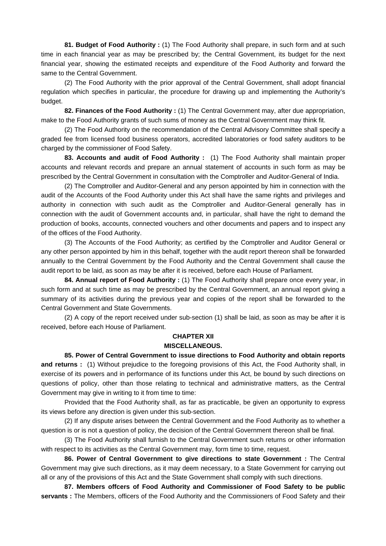**81. Budget of Food Authority :** (1) The Food Authority shall prepare, in such form and at such time in each financial year as may be prescribed by; the Central Government, its budget for the next financial year, showing the estimated receipts and expenditure of the Food Authority and forward the same to the Central Government.

(2) The Food Authority with the prior approval of the Central Government, shall adopt financial regulation which specifies in particular, the procedure for drawing up and implementing the Authority's budget.

**82. Finances of the Food Authority :** (1) The Central Government may, after due appropriation, make to the Food Authority grants of such sums of money as the Central Government may think fit.

(2) The Food Authority on the recommendation of the Central Advisory Committee shall specify a graded fee from licensed food business operators, accredited laboratories or food safety auditors to be charged by the commissioner of Food Safety.

**83. Accounts and audit of Food Authority :** (1) The Food Authority shall maintain proper accounts and relevant records and prepare an annual statement of accounts in such form as may be prescribed by the Central Government in consultation with the Comptroller and Auditor-General of India.

(2) The Comptroller and Auditor-General and any person appointed by him in connection with the audit of the Accounts of the Food Authority under this Act shall have the same rights and privileges and authority in connection with such audit as the Comptroller and Auditor-General generally has in connection with the audit of Government accounts and, in particular, shall have the right to demand the production of books, accounts, connected vouchers and other documents and papers and to inspect any of the offices of the Food Authority.

(3) The Accounts of the Food Authority; as certified by the Comptroller and Auditor General or any other person appointed by him in this behalf, together with the audit report thereon shall be forwarded annually to the Central Government by the Food Authority and the Central Government shall cause the audit report to be laid, as soon as may be after it is received, before each House of Parliament.

**84. Annual report of Food Authority :** (1) The Food Authority shall prepare once every year, in such form and at such time as may be prescribed by the Central Government, an annual report giving a summary of its activities during the previous year and copies of the report shall be forwarded to the Central Government and State Governments.

(2) A copy of the report received under sub-section (1) shall be laid, as soon as may be after it is received, before each House of Parliament.

## **CHAPTER XII MISCELLANEOUS.**

**85. Power of Central Government to issue directions to Food Authority and obtain reports and returns :** (1) Without prejudice to the foregoing provisions of this Act, the Food Authority shall, in exercise of its powers and in performance of its functions under this Act, be bound by such directions on questions of policy, other than those relating to technical and administrative matters, as the Central Government may give in writing to it from time to time:

 Provided that the Food Authority shall, as far as practicable, be given an opportunity to express its views before any direction is given under this sub-section.

(2) If any dispute arises between the Central Government and the Food Authority as to whether a question is or is not a question of policy, the decision of the Central Government thereon shall be final.

(3) The Food Authority shall furnish to the Central Government such returns or other information with respect to its activities as the Central Government may, form time to time, request.

**86. Power of Central Government to give directions to state Government :** The Central Government may give such directions, as it may deem necessary, to a State Government for carrying out all or any of the provisions of this Act and the State Government shall comply with such directions.

**87. Members offcers of Food Authority and Commissioner of Food Safety to be public servants :** The Members, officers of the Food Authority and the Commissioners of Food Safety and their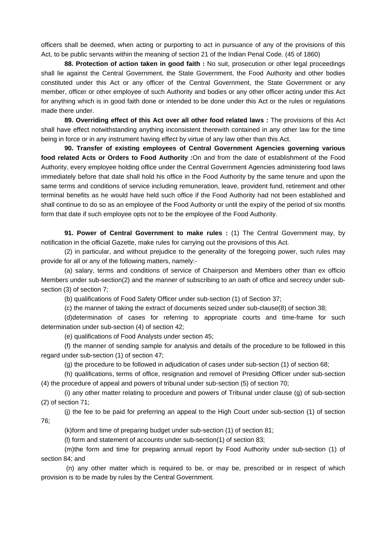officers shall be deemed, when acting or purporting to act in pursuance of any of the provisions of this Act, to be public servants within the meaning of section 21 of the Indian Penal Code. (45 of 1860)

**88. Protection of action taken in good faith :** No suit, prosecution or other legal proceedings shall lie against the Central Government, the State Government, the Food Authority and other bodies constituted under this Act or any officer of the Central Government, the State Government or any member, officer or other employee of such Authority and bodies or any other officer acting under this Act for anything which is in good faith done or intended to be done under this Act or the rules or regulations made there under.

**89. Overriding effect of this Act over all other food related laws :** The provisions of this Act shall have effect notwithstanding anything inconsistent therewith contained in any other law for the time being in force or in any instrument having effect by virtue of any law other than this Act.

**90. Transfer of existing employees of Central Government Agencies governing various food related Acts or Orders to Food Authority :**On and from the date of establishment of the Food Authority, every employee holding office under the Central Government Agencies administering food laws immediately before that date shall hold his office in the Food Authority by the same tenure and upon the same terms and conditions of service including remuneration, leave, provident fund, retirement and other terminal benefits as he would have held such office if the Food Authority had not been established and shall continue to do so as an employee of the Food Authority or until the expiry of the period of six months form that date if such employee opts not to be the employee of the Food Authority.

**91. Power of Central Government to make rules :** (1) The Central Government may, by notification in the official Gazette, make rules for carrying out the provisions of this Act.

(2) in particular, and without prejudice to the generality of the foregoing power, such rules may provide for all or any of the following matters, namely:-

(a) salary, terms and conditions of service of Chairperson and Members other than ex officio Members under sub-section(2) and the manner of subscribing to an oath of office and secrecy under subsection (3) of section 7;

(b) qualifications of Food Safety Officer under sub-section (1) of Section 37;

(c) the manner of taking the extract of documents seized under sub-clause(8) of section 38;

(d)determination of cases for referring to appropriate courts and time-frame for such determination under sub-section (4) of section 42;

(e) qualifications of Food Analysts under section 45;

(f) the manner of sending sample for analysis and details of the procedure to be followed in this regard under sub-section (1) of section 47;

(g) the procedure to be followed in adjudication of cases under sub-section (1) of section 68;

(h) qualifications, terms of office, resignation and removel of Presiding Officer under sub-section (4) the procedure of appeal and powers of tribunal under sub-section (5) of section 70;

(i) any other matter relating to procedure and powers of Tribunal under clause (g) of sub-section (2) of section 71;

(j) the fee to be paid for preferring an appeal to the High Court under sub-section (1) of section 76;

(k)form and time of preparing budget under sub-section (1) of section 81;

(l) form and statement of accounts under sub-section(1) of section 83;

(m)the form and time for preparing annual report by Food Authority under sub-section (1) of section 84; and

 (n) any other matter which is required to be, or may be, prescribed or in respect of which provision is to be made by rules by the Central Government.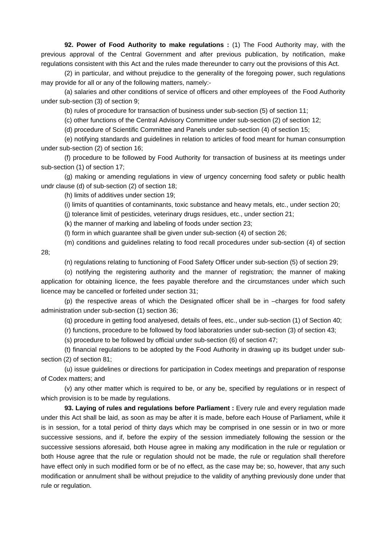**92. Power of Food Authority to make regulations :** (1) The Food Authority may, with the previous approval of the Central Government and after previous publication, by notification, make regulations consistent with this Act and the rules made thereunder to carry out the provisions of this Act.

(2) in particular, and without prejudice to the generality of the foregoing power, such regulations may provide for all or any of the following matters, namely:-

(a) salaries and other conditions of service of officers and other employees of the Food Authority under sub-section (3) of section 9;

(b) rules of procedure for transaction of business under sub-section (5) of section 11;

(c) other functions of the Central Advisory Committee under sub-section (2) of section 12;

(d) procedure of Scientific Committee and Panels under sub-section (4) of section 15;

(e) notifying standards and guidelines in relation to articles of food meant for human consumption under sub-section (2) of section 16;

(f) procedure to be followed by Food Authority for transaction of business at its meetings under sub-section (1) of section 17;

(g) making or amending regulations in view of urgency concerning food safety or public health undr clause (d) of sub-section (2) of section 18;

(h) limits of additives under section 19;

(i) limits of quantities of contaminants, toxic substance and heavy metals, etc., under section 20;

(j) tolerance limit of pesticides, veterinary drugs residues, etc., under section 21;

(k) the manner of marking and labeling of foods under section 23;

(l) form in which guarantee shall be given under sub-section (4) of section 26;

(m) conditions and guidelines relating to food recall procedures under sub-section (4) of section

28;

(n) regulations relating to functioning of Food Safety Officer under sub-section (5) of section 29;

(o) notifying the registering authority and the manner of registration; the manner of making application for obtaining licence, the fees payable therefore and the circumstances under which such licence may be cancelled or forfeited under section 31;

(p) the respective areas of which the Designated officer shall be in –charges for food safety administration under sub-section (1) section 36;

(q) procedure in getting food analyesed, details of fees, etc., under sub-section (1) of Section 40;

(r) functions, procedure to be followed by food laboratories under sub-section (3) of section 43;

(s) procedure to be followed by official under sub-section (6) of section 47;

(t) financial regulations to be adopted by the Food Authority in drawing up its budget under subsection (2) of section 81;

(u) issue guidelines or directions for participation in Codex meetings and preparation of response of Codex matters; and

(v) any other matter which is required to be, or any be, specified by regulations or in respect of which provision is to be made by regulations.

**93. Laying of rules and regulations before Parliament :** Every rule and every regulation made under this Act shall be laid, as soon as may be after it is made, before each House of Parliament, while it is in session, for a total period of thirty days which may be comprised in one sessin or in two or more successive sessions, and if, before the expiry of the session immediately following the session or the successive sessions aforesaid, both House agree in making any modification in the rule or regulation or both House agree that the rule or regulation should not be made, the rule or regulation shall therefore have effect only in such modified form or be of no effect, as the case may be; so, however, that any such modification or annulment shall be without prejudice to the validity of anything previously done under that rule or regulation.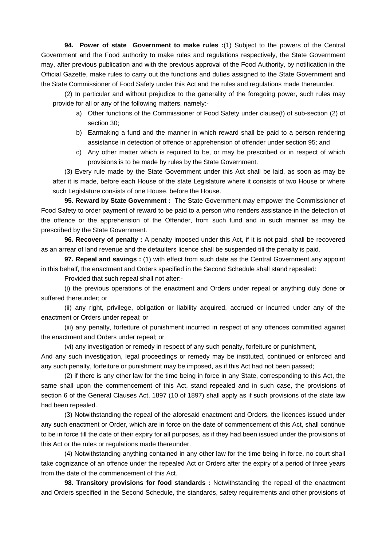**94. Power of state Government to make rules :**(1) Subject to the powers of the Central Government and the Food authority to make rules and regulations respectively, the State Government may, after previous publication and with the previous approval of the Food Authority, by notification in the Official Gazette, make rules to carry out the functions and duties assigned to the State Government and the State Commissioner of Food Safety under this Act and the rules and regulations made thereunder.

(2) In particular and without prejudice to the generality of the foregoing power, such rules may provide for all or any of the following matters, namely:-

- a) Other functions of the Commissioner of Food Safety under clause(f) of sub-section (2) of section 30;
- b) Earmaking a fund and the manner in which reward shall be paid to a person rendering assistance in detection of offence or apprehension of offender under section 95; and
- c) Any other matter which is required to be, or may be prescribed or in respect of which provisions is to be made by rules by the State Government.

(3) Every rule made by the State Government under this Act shall be laid, as soon as may be after it is made, before each House of the state Legislature where it consists of two House or where such Legislature consists of one House, before the House.

**95. Reward by State Government :** The State Government may empower the Commissioner of Food Safety to order payment of reward to be paid to a person who renders assistance in the detection of the offence or the apprehension of the Offender, from such fund and in such manner as may be prescribed by the State Government.

**96. Recovery of penalty :** A penalty imposed under this Act, if it is not paid, shall be recovered as an arrear of land revenue and the defaulters licence shall be suspended till the penalty is paid.

**97. Repeal and savings :** (1) with effect from such date as the Central Government any appoint in this behalf, the enactment and Orders specified in the Second Schedule shall stand repealed:

Provided that such repeal shall not after:-

(i) the previous operations of the enactment and Orders under repeal or anything duly done or suffered thereunder; or

(ii) any right, privilege, obligation or liability acquired, accrued or incurred under any of the enactment or Orders under repeal; or

(iii) any penalty, forfeiture of punishment incurred in respect of any offences committed against the enactment and Orders under repeal; or

(vi) any investigation or remedy in respect of any such penalty, forfeiture or punishment,

And any such investigation, legal proceedings or remedy may be instituted, continued or enforced and any such penalty, forfeiture or punishment may be imposed, as if this Act had not been passed;

(2) if there is any other law for the time being in force in any State, corresponding to this Act, the same shall upon the commencement of this Act, stand repealed and in such case, the provisions of section 6 of the General Clauses Act, 1897 (10 of 1897) shall apply as if such provisions of the state law had been repealed.

(3) Notwithstanding the repeal of the aforesaid enactment and Orders, the licences issued under any such enactment or Order, which are in force on the date of commencement of this Act, shall continue to be in force till the date of their expiry for all purposes, as if they had been issued under the provisions of this Act or the rules or regulations made thereunder.

(4) Notwithstanding anything contained in any other law for the time being in force, no court shall take cognizance of an offence under the repealed Act or Orders after the expiry of a period of three years from the date of the commencement of this Act.

**98. Transitory provisions for food standards :** Notwithstanding the repeal of the enactment and Orders specified in the Second Schedule, the standards, safety requirements and other provisions of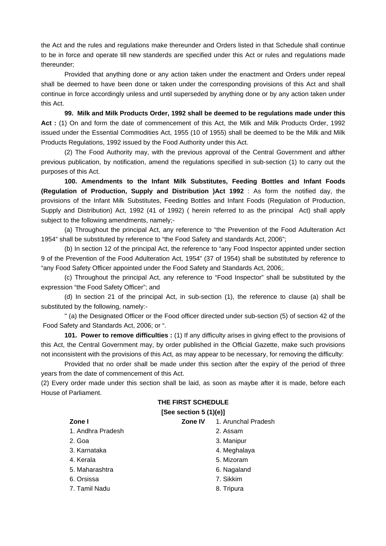the Act and the rules and regulations make thereunder and Orders listed in that Schedule shall continue to be in force and operate till new standerds are specified under this Act or rules and regulations made thereunder;

 Provided that anything done or any action taken under the enactment and Orders under repeal shall be deemed to have been done or taken under the corresponding provisions of this Act and shall continue in force accordingly unless and until superseded by anything done or by any action taken under this Act.

**99. Milk and Milk Products Order, 1992 shall be deemed to be regulations made under this**  Act : (1) On and form the date of commencement of this Act, the Milk and Milk Products Order, 1992 issued under the Essential Commodities Act, 1955 (10 of 1955) shall be deemed to be the Milk and Milk Products Regulations, 1992 issued by the Food Authority under this Act.

(2) The Food Authority may, with the previous approval of the Central Government and afther previous publication, by notification, amend the regulations specified in sub-section (1) to carry out the purposes of this Act.

**100. Amendments to the Infant Milk Substitutes, Feeding Bottles and Infant Foods (Regulation of Production, Supply and Distribution )Act 1992** : As form the notified day, the provisions of the Infant Milk Substitutes, Feeding Bottles and Infant Foods (Regulation of Production, Supply and Distribution) Act, 1992 (41 of 1992) ( herein referred to as the principal Act) shall apply subject to the following amendments, namely;-

(a) Throughout the principal Act, any reference to "the Prevention of the Food Adulteration Act 1954" shall be substituted by reference to "the Food Safety and standards Act, 2006";

(b) In section 12 of the principal Act, the reference to "any Food Inspector appinted under section 9 of the Prevention of the Food Adulteration Act, 1954" (37 of 1954) shall be substituted by reference to "any Food Safety Officer appointed under the Food Safety and Standards Act, 2006;.

(c) Throughout the principal Act, any reference to "Food Inspector" shall be substituted by the expression "the Food Safety Officer"; and

(d) In section 21 of the principal Act, in sub-section (1), the reference to clause (a) shall be substituted by the following, namely:-

'' (a) the Designated Officer or the Food officer directed under sub-section (5) of section 42 of the Food Safety and Standards Act, 2006; or ".

**101. Power to remove difficulties :** (1) If any difficulty arises in giving effect to the provisions of this Act, the Central Government may, by order published in the Official Gazette, make such provisions not inconsistent with the provisions of this Act, as may appear to be necessary, for removing the difficulty:

 Provided that no order shall be made under this section after the expiry of the period of three years from the date of commencement of this Act.

(2) Every order made under this section shall be laid, as soon as maybe after it is made, before each House of Parliament.

# **THE FIRST SCHEDULE**

# **[See section 5 (1)(e)]**

| Zone I            | Zone IV | 1. Arunchal Pradesh |
|-------------------|---------|---------------------|
| 1. Andhra Pradesh |         | 2. Assam            |
| 2. Goa            |         | 3. Manipur          |
| 3. Karnataka      |         | 4. Meghalaya        |
| 4. Kerala         |         | 5. Mizoram          |
| 5. Maharashtra    |         | 6. Nagaland         |
| 6. Orsissa        |         | 7. Sikkim           |
| 7. Tamil Nadu     |         | 8. Tripura          |
|                   |         |                     |